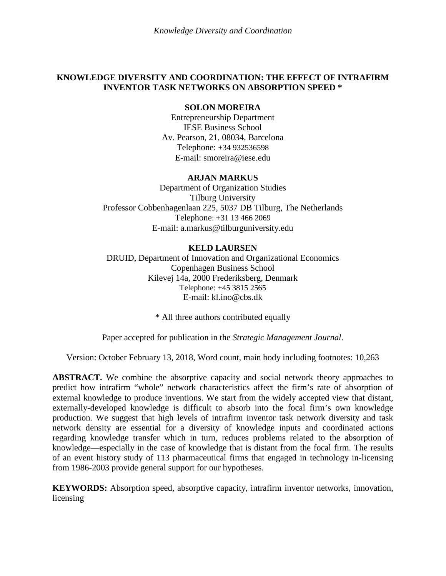## **KNOWLEDGE DIVERSITY AND COORDINATION: THE EFFECT OF INTRAFIRM INVENTOR TASK NETWORKS ON ABSORPTION SPEED \***

### **SOLON MOREIRA**

Entrepreneurship Department IESE Business School Av. Pearson, 21, 08034, Barcelona Telephone: +34 932536598 E-mail: smoreira@iese.edu

## **ARJAN MARKUS**

Department of Organization Studies Tilburg University Professor Cobbenhagenlaan 225, 5037 DB Tilburg, The Netherlands Telephone: +31 13 466 2069 E-mail: a.markus@tilburguniversity.edu

## **KELD LAURSEN**

DRUID, Department of Innovation and Organizational Economics Copenhagen Business School Kilevej 14a, 2000 Frederiksberg, Denmark Telephone: +45 3815 2565 E-mail: kl.ino@cbs.dk

\* All three authors contributed equally

Paper accepted for publication in the *Strategic Management Journal*.

Version: October February 13, 2018, Word count, main body including footnotes: 10,263

**ABSTRACT.** We combine the absorptive capacity and social network theory approaches to predict how intrafirm "whole" network characteristics affect the firm's rate of absorption of external knowledge to produce inventions. We start from the widely accepted view that distant, externally-developed knowledge is difficult to absorb into the focal firm's own knowledge production. We suggest that high levels of intrafirm inventor task network diversity and task network density are essential for a diversity of knowledge inputs and coordinated actions regarding knowledge transfer which in turn, reduces problems related to the absorption of knowledge—especially in the case of knowledge that is distant from the focal firm. The results of an event history study of 113 pharmaceutical firms that engaged in technology in-licensing from 1986-2003 provide general support for our hypotheses.

**KEYWORDS:** Absorption speed, absorptive capacity, intrafirm inventor networks, innovation, licensing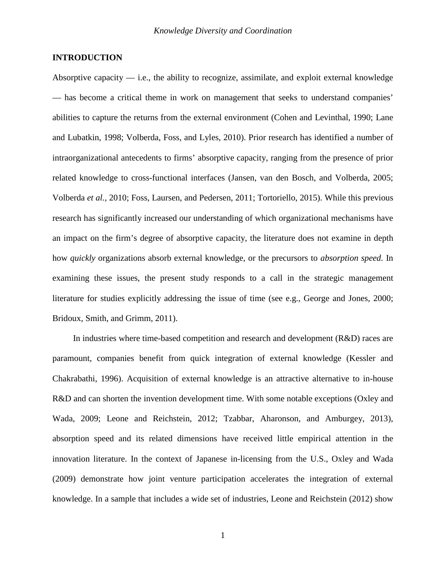#### **INTRODUCTION**

Absorptive capacity — i.e., the ability to recognize, assimilate, and exploit external knowledge — has become a critical theme in work on management that seeks to understand companies' abilities to capture the returns from the external environment [\(Cohen and Levinthal, 1990;](#page-35-0) [Lane](#page-36-0)  [and Lubatkin, 1998;](#page-36-0) [Volberda, Foss, and Lyles, 2010\)](#page-38-0). Prior research has identified a number of intraorganizational antecedents to firms' absorptive capacity, ranging from the presence of prior related knowledge to cross-functional interfaces [\(Jansen, van den Bosch, and Volberda, 2005;](#page-36-1) [Volberda](#page-38-0) *et al.*, 2010; [Foss, Laursen, and Pedersen, 2011;](#page-35-1) [Tortoriello, 2015\)](#page-38-1). While this previous research has significantly increased our understanding of which organizational mechanisms have an impact on the firm's degree of absorptive capacity, the literature does not examine in depth how *quickly* organizations absorb external knowledge, or the precursors to *absorption speed*. In examining these issues, the present study responds to a call in the strategic management literature for studies explicitly addressing the issue of time (see e.g., [George and Jones, 2000;](#page-36-2) [Bridoux, Smith, and Grimm, 2011\)](#page-35-2).

In industries where time-based competition and research and development (R&D) races are paramount, companies benefit from quick integration of external knowledge [\(Kessler and](#page-36-3)  [Chakrabathi, 1996\)](#page-36-3). Acquisition of external knowledge is an attractive alternative to in-house R&D and can shorten the invention development time. With some notable exceptions [\(Oxley and](#page-37-0)  [Wada, 2009;](#page-37-0) [Leone and Reichstein, 2012;](#page-37-1) [Tzabbar, Aharonson, and Amburgey, 2013\)](#page-38-2), absorption speed and its related dimensions have received little empirical attention in the innovation literature. In the context of Japanese in-licensing from the U.S., Oxley and Wada [\(2009\)](#page-37-0) demonstrate how joint venture participation accelerates the integration of external knowledge. In a sample that includes a wide set of industries, Leone and Reichstein [\(2012\)](#page-37-1) show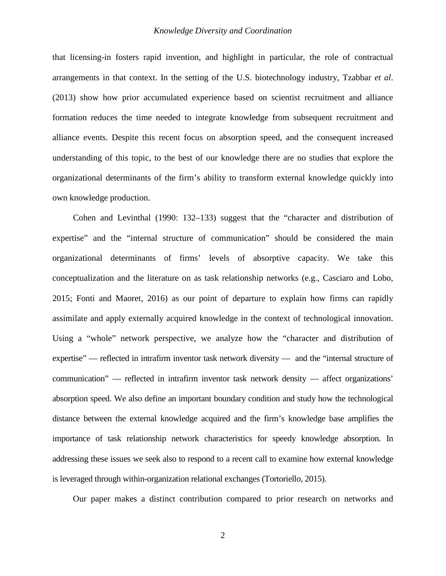that licensing-in fosters rapid invention, and highlight in particular, the role of contractual arrangements in that context. In the setting of the U.S. biotechnology industry, Tzabbar *et al*. [\(2013\)](#page-38-2) show how prior accumulated experience based on scientist recruitment and alliance formation reduces the time needed to integrate knowledge from subsequent recruitment and alliance events. Despite this recent focus on absorption speed, and the consequent increased understanding of this topic, to the best of our knowledge there are no studies that explore the organizational determinants of the firm's ability to transform external knowledge quickly into own knowledge production.

Cohen and Levinthal [\(1990: 132–133\)](#page-35-0) suggest that the "character and distribution of expertise" and the "internal structure of communication" should be considered the main organizational determinants of firms' levels of absorptive capacity. We take this conceptualization and the literature on as task relationship networks (e.g., [Casciaro and Lobo,](#page-35-3)  [2015;](#page-35-3) [Fonti and Maoret, 2016\)](#page-35-4) as our point of departure to explain how firms can rapidly assimilate and apply externally acquired knowledge in the context of technological innovation. Using a "whole" network perspective, we analyze how the "character and distribution of expertise" — reflected in intrafirm inventor task network diversity — and the "internal structure of communication" — reflected in intrafirm inventor task network density — affect organizations' absorption speed. We also define an important boundary condition and study how the technological distance between the external knowledge acquired and the firm's knowledge base amplifies the importance of task relationship network characteristics for speedy knowledge absorption. In addressing these issues we seek also to respond to a recent call to examine how external knowledge is leveraged through within-organization relational exchanges [\(Tortoriello, 2015\)](#page-38-1).

Our paper makes a distinct contribution compared to prior research on networks and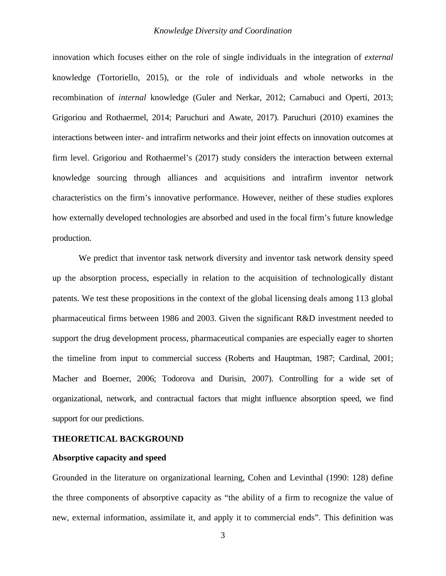innovation which focuses either on the role of single individuals in the integration of *external* knowledge [\(Tortoriello, 2015\)](#page-38-1), or the role of individuals and whole networks in the recombination of *internal* knowledge [\(Guler and Nerkar, 2012;](#page-36-4) [Carnabuci and Operti, 2013;](#page-35-5) [Grigoriou and Rothaermel, 2014;](#page-36-5) [Paruchuri and Awate, 2017\)](#page-37-2). Paruchuri [\(2010\)](#page-37-3) examines the interactions between inter- and intrafirm networks and their joint effects on innovation outcomes at firm level. Grigoriou and Rothaermel's [\(2017\)](#page-36-6) study considers the interaction between external knowledge sourcing through alliances and acquisitions and intrafirm inventor network characteristics on the firm's innovative performance. However, neither of these studies explores how externally developed technologies are absorbed and used in the focal firm's future knowledge production.

We predict that inventor task network diversity and inventor task network density speed up the absorption process, especially in relation to the acquisition of technologically distant patents. We test these propositions in the context of the global licensing deals among 113 global pharmaceutical firms between 1986 and 2003. Given the significant R&D investment needed to support the drug development process, pharmaceutical companies are especially eager to shorten the timeline from input to commercial success [\(Roberts and Hauptman, 1987;](#page-37-4) [Cardinal, 2001;](#page-35-6) [Macher and Boerner, 2006;](#page-37-5) [Todorova and Durisin, 2007\)](#page-38-3). Controlling for a wide set of organizational, network, and contractual factors that might influence absorption speed, we find support for our predictions.

#### **THEORETICAL BACKGROUND**

#### **Absorptive capacity and speed**

Grounded in the literature on organizational learning, Cohen and Levinthal [\(1990: 128\)](#page-35-0) define the three components of absorptive capacity as "the ability of a firm to recognize the value of new, external information, assimilate it, and apply it to commercial ends". This definition was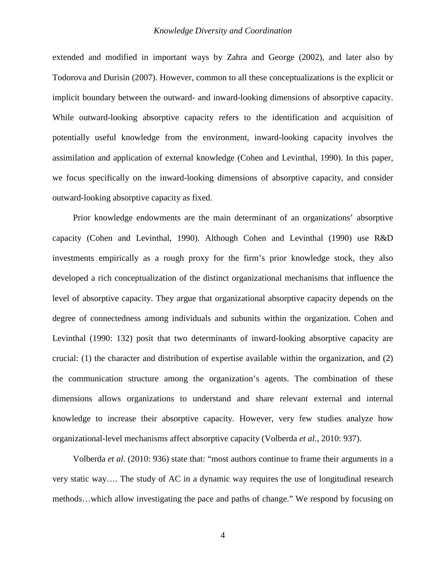extended and modified in important ways by Zahra and George [\(2002\)](#page-38-4), and later also by Todorova and Durisin [\(2007\)](#page-38-3). However, common to all these conceptualizations is the explicit or implicit boundary between the outward- and inward-looking dimensions of absorptive capacity. While outward-looking absorptive capacity refers to the identification and acquisition of potentially useful knowledge from the environment, inward-looking capacity involves the assimilation and application of external knowledge [\(Cohen and Levinthal, 1990\)](#page-35-0). In this paper, we focus specifically on the inward-looking dimensions of absorptive capacity, and consider outward-looking absorptive capacity as fixed.

Prior knowledge endowments are the main determinant of an organizations' absorptive capacity [\(Cohen and Levinthal, 1990\)](#page-35-0). Although Cohen and Levinthal [\(1990\)](#page-35-0) use R&D investments empirically as a rough proxy for the firm's prior knowledge stock, they also developed a rich conceptualization of the distinct organizational mechanisms that influence the level of absorptive capacity. They argue that organizational absorptive capacity depends on the degree of connectedness among individuals and subunits within the organization. Cohen and Levinthal [\(1990: 132\)](#page-35-0) posit that two determinants of inward-looking absorptive capacity are crucial: (1) the character and distribution of expertise available within the organization, and (2) the communication structure among the organization's agents. The combination of these dimensions allows organizations to understand and share relevant external and internal knowledge to increase their absorptive capacity. However, very few studies analyze how organizational-level mechanisms affect absorptive capacity (Volberda *et al.*[, 2010: 937\)](#page-38-0).

Volberda *et al*. [\(2010: 936\)](#page-38-0) state that: "most authors continue to frame their arguments in a very static way…. The study of AC in a dynamic way requires the use of longitudinal research methods…which allow investigating the pace and paths of change." We respond by focusing on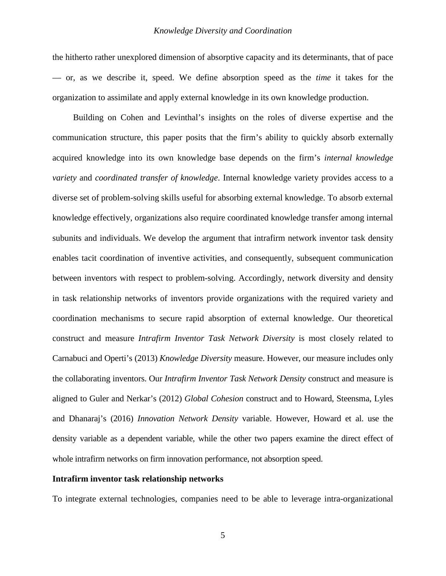the hitherto rather unexplored dimension of absorptive capacity and its determinants, that of pace — or, as we describe it, speed. We define absorption speed as the *time* it takes for the organization to assimilate and apply external knowledge in its own knowledge production.

Building on Cohen and Levinthal's insights on the roles of diverse expertise and the communication structure, this paper posits that the firm's ability to quickly absorb externally acquired knowledge into its own knowledge base depends on the firm's *internal knowledge variety* and *coordinated transfer of knowledge*. Internal knowledge variety provides access to a diverse set of problem-solving skills useful for absorbing external knowledge. To absorb external knowledge effectively, organizations also require coordinated knowledge transfer among internal subunits and individuals. We develop the argument that intrafirm network inventor task density enables tacit coordination of inventive activities, and consequently, subsequent communication between inventors with respect to problem-solving. Accordingly, network diversity and density in task relationship networks of inventors provide organizations with the required variety and coordination mechanisms to secure rapid absorption of external knowledge. Our theoretical construct and measure *Intrafirm Inventor Task Network Diversity* is most closely related to Carnabuci and Operti's [\(2013\)](#page-35-5) *Knowledge Diversity* measure. However, our measure includes only the collaborating inventors. Our *Intrafirm Inventor Task Network Density* construct and measure is aligned to Guler and Nerkar's [\(2012\)](#page-36-4) *Global Cohesion* construct and to Howard, Steensma, Lyles and Dhanaraj's [\(2016\)](#page-36-7) *Innovation Network Density* variable. However, Howard et al. use the density variable as a dependent variable, while the other two papers examine the direct effect of whole intrafirm networks on firm innovation performance, not absorption speed.

#### **Intrafirm inventor task relationship networks**

To integrate external technologies, companies need to be able to leverage intra-organizational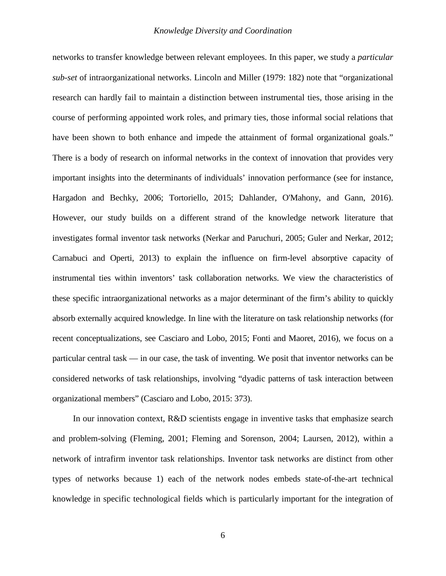networks to transfer knowledge between relevant employees. In this paper, we study a *particular sub-set* of intraorganizational networks. Lincoln and Miller [\(1979: 182\)](#page-37-6) note that "organizational research can hardly fail to maintain a distinction between instrumental ties, those arising in the course of performing appointed work roles, and primary ties, those informal social relations that have been shown to both enhance and impede the attainment of formal organizational goals." There is a body of research on informal networks in the context of innovation that provides very important insights into the determinants of individuals' innovation performance (see for instance, [Hargadon and Bechky, 2006;](#page-36-8) [Tortoriello, 2015;](#page-38-1) [Dahlander, O'Mahony, and Gann, 2016\)](#page-35-7). However, our study builds on a different strand of the knowledge network literature that investigates formal inventor task networks [\(Nerkar and Paruchuri, 2005;](#page-37-7) [Guler and Nerkar, 2012;](#page-36-4) [Carnabuci and Operti, 2013\)](#page-35-5) to explain the influence on firm-level absorptive capacity of instrumental ties within inventors' task collaboration networks. We view the characteristics of these specific intraorganizational networks as a major determinant of the firm's ability to quickly absorb externally acquired knowledge. In line with the literature on task relationship networks (for recent conceptualizations, see [Casciaro and Lobo, 2015;](#page-35-3) [Fonti and Maoret, 2016\)](#page-35-4), we focus on a particular central task — in our case, the task of inventing. We posit that inventor networks can be considered networks of task relationships, involving "dyadic patterns of task interaction between organizational members" [\(Casciaro and Lobo, 2015: 373\)](#page-35-3).

In our innovation context, R&D scientists engage in inventive tasks that emphasize search and problem-solving [\(Fleming, 2001;](#page-35-8) [Fleming and Sorenson, 2004;](#page-35-9) [Laursen, 2012\)](#page-36-9), within a network of intrafirm inventor task relationships. Inventor task networks are distinct from other types of networks because 1) each of the network nodes embeds state-of-the-art technical knowledge in specific technological fields which is particularly important for the integration of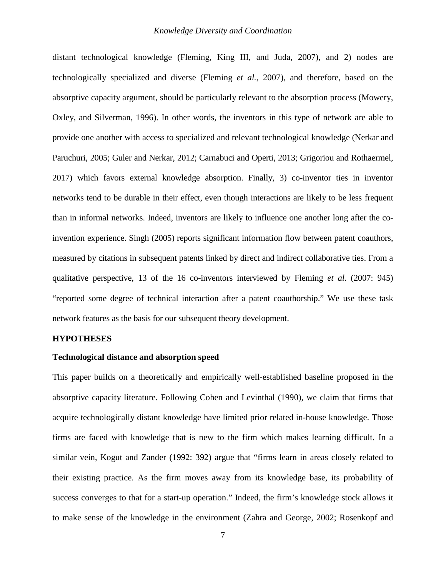distant technological knowledge [\(Fleming, King III, and Juda, 2007\)](#page-35-10), and 2) nodes are technologically specialized and diverse [\(Fleming](#page-35-10) *et al.*, 2007), and therefore, based on the absorptive capacity argument, should be particularly relevant to the absorption process [\(Mowery,](#page-37-8)  [Oxley, and Silverman, 1996\)](#page-37-8). In other words, the inventors in this type of network are able to provide one another with access to specialized and relevant technological knowledge [\(Nerkar and](#page-37-7)  [Paruchuri, 2005;](#page-37-7) [Guler and Nerkar, 2012;](#page-36-4) [Carnabuci and Operti, 2013;](#page-35-5) [Grigoriou and Rothaermel,](#page-36-6)  [2017\)](#page-36-6) which favors external knowledge absorption. Finally, 3) co-inventor ties in inventor networks tend to be durable in their effect, even though interactions are likely to be less frequent than in informal networks. Indeed, inventors are likely to influence one another long after the coinvention experience. Singh [\(2005\)](#page-38-5) reports significant information flow between patent coauthors, measured by citations in subsequent patents linked by direct and indirect collaborative ties. From a qualitative perspective, 13 of the 16 co-inventors interviewed by Fleming *et al*. [\(2007: 945\)](#page-35-10) "reported some degree of technical interaction after a patent coauthorship." We use these task network features as the basis for our subsequent theory development.

#### **HYPOTHESES**

#### **Technological distance and absorption speed**

This paper builds on a theoretically and empirically well-established baseline proposed in the absorptive capacity literature. Following Cohen and Levinthal [\(1990\)](#page-35-0), we claim that firms that acquire technologically distant knowledge have limited prior related in-house knowledge. Those firms are faced with knowledge that is new to the firm which makes learning difficult. In a similar vein, Kogut and Zander [\(1992: 392\)](#page-36-10) argue that "firms learn in areas closely related to their existing practice. As the firm moves away from its knowledge base, its probability of success converges to that for a start-up operation." Indeed, the firm's knowledge stock allows it to make sense of the knowledge in the environment [\(Zahra and George, 2002;](#page-38-4) [Rosenkopf and](#page-38-6)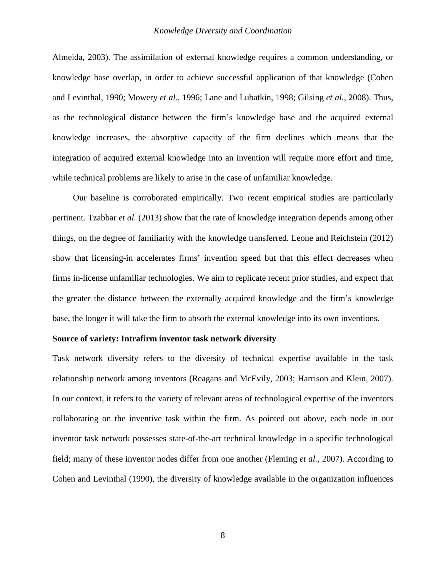[Almeida, 2003\)](#page-38-6). The assimilation of external knowledge requires a common understanding, or knowledge base overlap, in order to achieve successful application of that knowledge [\(Cohen](#page-35-0)  [and Levinthal, 1990;](#page-35-0) [Mowery](#page-37-8) *et al.*, 1996; [Lane and Lubatkin, 1998;](#page-36-0) [Gilsing](#page-36-11) *et al.*, 2008). Thus, as the technological distance between the firm's knowledge base and the acquired external knowledge increases, the absorptive capacity of the firm declines which means that the integration of acquired external knowledge into an invention will require more effort and time, while technical problems are likely to arise in the case of unfamiliar knowledge.

Our baseline is corroborated empirically. Two recent empirical studies are particularly pertinent. Tzabbar *et al.* [\(2013\)](#page-38-2) show that the rate of knowledge integration depends among other things, on the degree of familiarity with the knowledge transferred. Leone and Reichstein [\(2012\)](#page-37-1) show that licensing-in accelerates firms' invention speed but that this effect decreases when firms in-license unfamiliar technologies. We aim to replicate recent prior studies, and expect that the greater the distance between the externally acquired knowledge and the firm's knowledge base, the longer it will take the firm to absorb the external knowledge into its own inventions.

#### **Source of variety: Intrafirm inventor task network diversity**

Task network diversity refers to the diversity of technical expertise available in the task relationship network among inventors [\(Reagans and McEvily, 2003;](#page-37-9) [Harrison and Klein, 2007\)](#page-36-12). In our context, it refers to the variety of relevant areas of technological expertise of the inventors collaborating on the inventive task within the firm. As pointed out above, each node in our inventor task network possesses state-of-the-art technical knowledge in a specific technological field; many of these inventor nodes differ from one another [\(Fleming](#page-35-10) *et al.*, 2007). According to Cohen and Levinthal [\(1990\)](#page-35-0), the diversity of knowledge available in the organization influences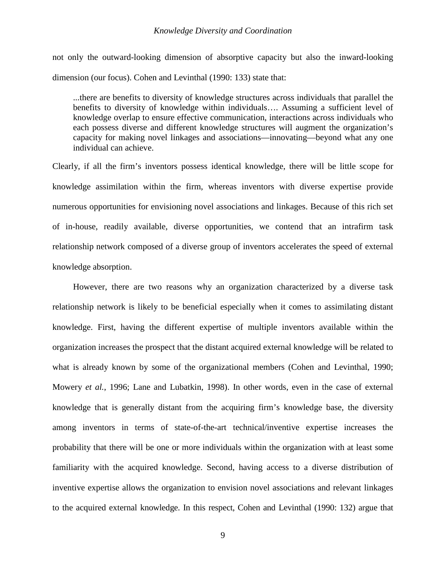not only the outward-looking dimension of absorptive capacity but also the inward-looking dimension (our focus). Cohen and Levinthal [\(1990: 133\)](#page-35-0) state that:

...there are benefits to diversity of knowledge structures across individuals that parallel the benefits to diversity of knowledge within individuals…. Assuming a sufficient level of knowledge overlap to ensure effective communication, interactions across individuals who each possess diverse and different knowledge structures will augment the organization's capacity for making novel linkages and associations—innovating—beyond what any one individual can achieve.

Clearly, if all the firm's inventors possess identical knowledge, there will be little scope for knowledge assimilation within the firm, whereas inventors with diverse expertise provide numerous opportunities for envisioning novel associations and linkages. Because of this rich set of in-house, readily available, diverse opportunities, we contend that an intrafirm task relationship network composed of a diverse group of inventors accelerates the speed of external knowledge absorption.

However, there are two reasons why an organization characterized by a diverse task relationship network is likely to be beneficial especially when it comes to assimilating distant knowledge. First, having the different expertise of multiple inventors available within the organization increases the prospect that the distant acquired external knowledge will be related to what is already known by some of the organizational members [\(Cohen and Levinthal, 1990;](#page-35-0) [Mowery](#page-37-8) *et al.*, 1996; [Lane and Lubatkin, 1998\)](#page-36-0). In other words, even in the case of external knowledge that is generally distant from the acquiring firm's knowledge base, the diversity among inventors in terms of state-of-the-art technical/inventive expertise increases the probability that there will be one or more individuals within the organization with at least some familiarity with the acquired knowledge. Second, having access to a diverse distribution of inventive expertise allows the organization to envision novel associations and relevant linkages to the acquired external knowledge. In this respect, Cohen and Levinthal [\(1990: 132\)](#page-35-0) argue that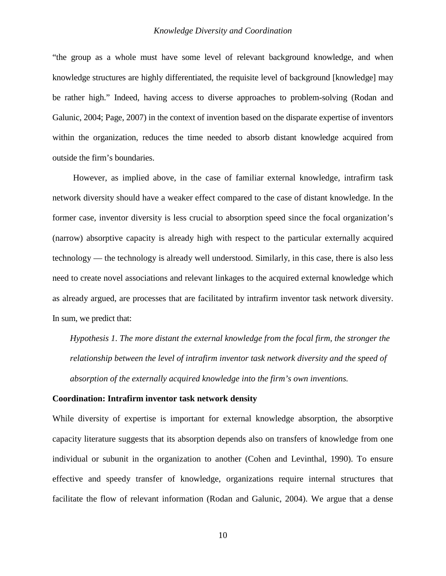"the group as a whole must have some level of relevant background knowledge, and when knowledge structures are highly differentiated, the requisite level of background [knowledge] may be rather high." Indeed, having access to diverse approaches to problem-solving [\(Rodan and](#page-38-7)  [Galunic, 2004;](#page-38-7) [Page, 2007\)](#page-37-10) in the context of invention based on the disparate expertise of inventors within the organization, reduces the time needed to absorb distant knowledge acquired from outside the firm's boundaries.

However, as implied above, in the case of familiar external knowledge, intrafirm task network diversity should have a weaker effect compared to the case of distant knowledge. In the former case, inventor diversity is less crucial to absorption speed since the focal organization's (narrow) absorptive capacity is already high with respect to the particular externally acquired technology — the technology is already well understood. Similarly, in this case, there is also less need to create novel associations and relevant linkages to the acquired external knowledge which as already argued, are processes that are facilitated by intrafirm inventor task network diversity. In sum, we predict that:

*Hypothesis 1. The more distant the external knowledge from the focal firm, the stronger the relationship between the level of intrafirm inventor task network diversity and the speed of absorption of the externally acquired knowledge into the firm's own inventions.*

#### **Coordination: Intrafirm inventor task network density**

While diversity of expertise is important for external knowledge absorption, the absorptive capacity literature suggests that its absorption depends also on transfers of knowledge from one individual or subunit in the organization to another [\(Cohen and Levinthal, 1990\)](#page-35-0). To ensure effective and speedy transfer of knowledge, organizations require internal structures that facilitate the flow of relevant information [\(Rodan and Galunic, 2004\)](#page-38-7). We argue that a dense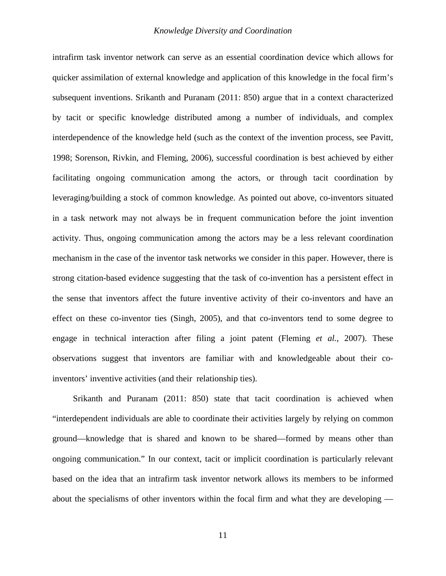intrafirm task inventor network can serve as an essential coordination device which allows for quicker assimilation of external knowledge and application of this knowledge in the focal firm's subsequent inventions. Srikanth and Puranam [\(2011: 850\)](#page-38-8) argue that in a context characterized by tacit or specific knowledge distributed among a number of individuals, and complex interdependence of the knowledge held (such as the context of the invention process, see [Pavitt,](#page-37-11)  [1998;](#page-37-11) [Sorenson, Rivkin, and Fleming, 2006\)](#page-38-9), successful coordination is best achieved by either facilitating ongoing communication among the actors, or through tacit coordination by leveraging/building a stock of common knowledge. As pointed out above, co-inventors situated in a task network may not always be in frequent communication before the joint invention activity. Thus, ongoing communication among the actors may be a less relevant coordination mechanism in the case of the inventor task networks we consider in this paper. However, there is strong citation-based evidence suggesting that the task of co-invention has a persistent effect in the sense that inventors affect the future inventive activity of their co-inventors and have an effect on these co-inventor ties [\(Singh, 2005\)](#page-38-5), and that co-inventors tend to some degree to engage in technical interaction after filing a joint patent [\(Fleming](#page-35-10) *et al.*, 2007). These observations suggest that inventors are familiar with and knowledgeable about their coinventors' inventive activities (and their relationship ties).

Srikanth and Puranam [\(2011: 850\)](#page-38-8) state that tacit coordination is achieved when "interdependent individuals are able to coordinate their activities largely by relying on common ground—knowledge that is shared and known to be shared—formed by means other than ongoing communication." In our context, tacit or implicit coordination is particularly relevant based on the idea that an intrafirm task inventor network allows its members to be informed about the specialisms of other inventors within the focal firm and what they are developing —

11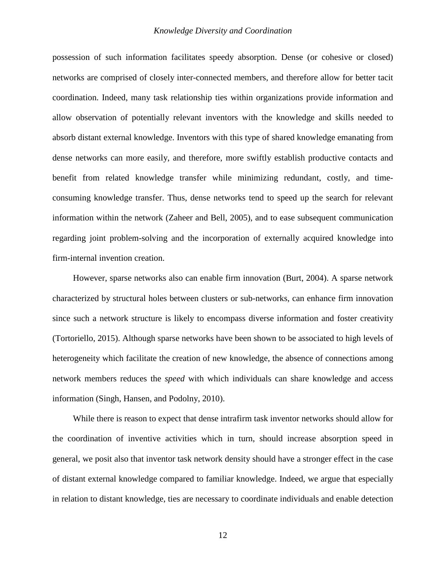possession of such information facilitates speedy absorption. Dense (or cohesive or closed) networks are comprised of closely inter-connected members, and therefore allow for better tacit coordination. Indeed, many task relationship ties within organizations provide information and allow observation of potentially relevant inventors with the knowledge and skills needed to absorb distant external knowledge. Inventors with this type of shared knowledge emanating from dense networks can more easily, and therefore, more swiftly establish productive contacts and benefit from related knowledge transfer while minimizing redundant, costly, and timeconsuming knowledge transfer. Thus, dense networks tend to speed up the search for relevant information within the network [\(Zaheer and Bell, 2005\)](#page-38-10), and to ease subsequent communication regarding joint problem-solving and the incorporation of externally acquired knowledge into firm-internal invention creation.

However, sparse networks also can enable firm innovation [\(Burt, 2004\)](#page-35-11). A sparse network characterized by structural holes between clusters or sub-networks, can enhance firm innovation since such a network structure is likely to encompass diverse information and foster creativity [\(Tortoriello, 2015\)](#page-38-1). Although sparse networks have been shown to be associated to high levels of heterogeneity which facilitate the creation of new knowledge, the absence of connections among network members reduces the *speed* with which individuals can share knowledge and access information [\(Singh, Hansen, and Podolny, 2010\)](#page-38-11).

While there is reason to expect that dense intrafirm task inventor networks should allow for the coordination of inventive activities which in turn, should increase absorption speed in general, we posit also that inventor task network density should have a stronger effect in the case of distant external knowledge compared to familiar knowledge. Indeed, we argue that especially in relation to distant knowledge, ties are necessary to coordinate individuals and enable detection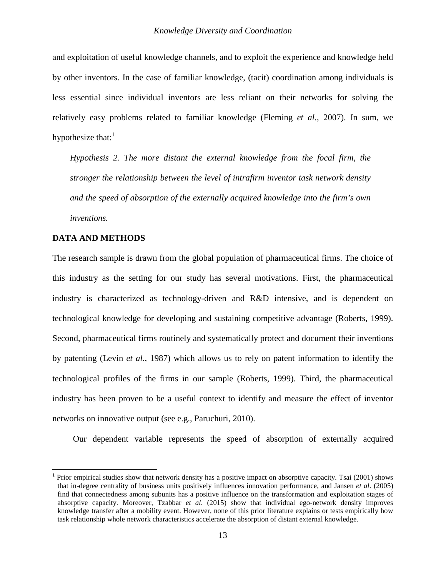and exploitation of useful knowledge channels, and to exploit the experience and knowledge held by other inventors. In the case of familiar knowledge, (tacit) coordination among individuals is less essential since individual inventors are less reliant on their networks for solving the relatively easy problems related to familiar knowledge [\(Fleming](#page-35-10) *et al.*, 2007). In sum, we hypothesize that: $<sup>1</sup>$  $<sup>1</sup>$  $<sup>1</sup>$ </sup>

*Hypothesis 2. The more distant the external knowledge from the focal firm, the stronger the relationship between the level of intrafirm inventor task network density and the speed of absorption of the externally acquired knowledge into the firm's own inventions.*

#### **DATA AND METHODS**

 $\overline{\phantom{a}}$ 

The research sample is drawn from the global population of pharmaceutical firms. The choice of this industry as the setting for our study has several motivations. First, the pharmaceutical industry is characterized as technology-driven and R&D intensive, and is dependent on technological knowledge for developing and sustaining competitive advantage [\(Roberts, 1999\)](#page-38-12). Second, pharmaceutical firms routinely and systematically protect and document their inventions by patenting (Levin *et al.*[, 1987\)](#page-37-12) which allows us to rely on patent information to identify the technological profiles of the firms in our sample [\(Roberts, 1999\)](#page-38-12). Third, the pharmaceutical industry has been proven to be a useful context to identify and measure the effect of inventor networks on innovative output [\(see e.g., Paruchuri, 2010\)](#page-37-3).

Our dependent variable represents the speed of absorption of externally acquired

<span id="page-13-0"></span><sup>1</sup> Prior empirical studies show that network density has a positive impact on absorptive capacity. Tsai [\(2001\)](#page-38-13) shows that in-degree centrality of business units positively influences innovation performance, and Jansen *et al*. [\(2005\)](#page-36-1) find that connectedness among subunits has a positive influence on the transformation and exploitation stages of absorptive capacity. Moreover, Tzabbar *et al*. [\(2015\)](#page-38-14) show that individual ego-network density improves knowledge transfer after a mobility event. However, none of this prior literature explains or tests empirically how task relationship whole network characteristics accelerate the absorption of distant external knowledge.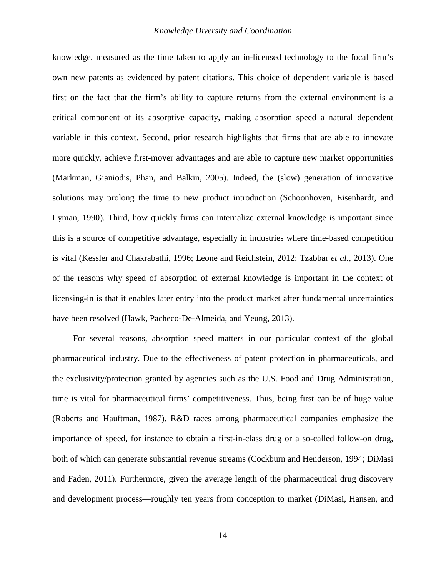knowledge, measured as the time taken to apply an in-licensed technology to the focal firm's own new patents as evidenced by patent citations. This choice of dependent variable is based first on the fact that the firm's ability to capture returns from the external environment is a critical component of its absorptive capacity, making absorption speed a natural dependent variable in this context. Second, prior research highlights that firms that are able to innovate more quickly, achieve first-mover advantages and are able to capture new market opportunities [\(Markman, Gianiodis, Phan, and Balkin, 2005\)](#page-37-13). Indeed, the (slow) generation of innovative solutions may prolong the time to new product introduction [\(Schoonhoven, Eisenhardt, and](#page-38-15)  [Lyman, 1990\)](#page-38-15). Third, how quickly firms can internalize external knowledge is important since this is a source of competitive advantage, especially in industries where time-based competition is vital [\(Kessler and Chakrabathi, 1996;](#page-36-3) [Leone and Reichstein, 2012;](#page-37-1) [Tzabbar](#page-38-2) *et al.*, 2013). One of the reasons why speed of absorption of external knowledge is important in the context of licensing-in is that it enables later entry into the product market after fundamental uncertainties have been resolved [\(Hawk, Pacheco-De-Almeida, and Yeung, 2013\)](#page-36-13).

For several reasons, absorption speed matters in our particular context of the global pharmaceutical industry. Due to the effectiveness of patent protection in pharmaceuticals, and the exclusivity/protection granted by agencies such as the U.S. Food and Drug Administration, time is vital for pharmaceutical firms' competitiveness. Thus, being first can be of huge value [\(Roberts and Hauftman, 1987\)](#page-37-14). R&D races among pharmaceutical companies emphasize the importance of speed, for instance to obtain a first-in-class drug or a so-called follow-on drug, both of which can generate substantial revenue streams [\(Cockburn and Henderson, 1994;](#page-35-12) [DiMasi](#page-35-13)  [and Faden, 2011\)](#page-35-13). Furthermore, given the average length of the pharmaceutical drug discovery and development process—roughly ten years from conception to market [\(DiMasi, Hansen, and](#page-35-14)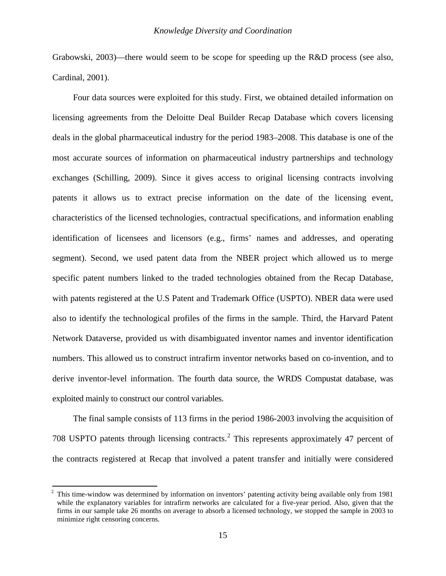[Grabowski, 2003\)](#page-35-14)—there would seem to be scope for speeding up the R&D process [\(see also,](#page-35-6)  [Cardinal, 2001\)](#page-35-6).

Four data sources were exploited for this study. First, we obtained detailed information on licensing agreements from the Deloitte Deal Builder Recap Database which covers licensing deals in the global pharmaceutical industry for the period 1983–2008. This database is one of the most accurate sources of information on pharmaceutical industry partnerships and technology exchanges [\(Schilling, 2009\)](#page-38-16). Since it gives access to original licensing contracts involving patents it allows us to extract precise information on the date of the licensing event, characteristics of the licensed technologies, contractual specifications, and information enabling identification of licensees and licensors (e.g., firms' names and addresses, and operating segment). Second, we used patent data from the NBER project which allowed us to merge specific patent numbers linked to the traded technologies obtained from the Recap Database, with patents registered at the U.S Patent and Trademark Office (USPTO). NBER data were used also to identify the technological profiles of the firms in the sample. Third, the Harvard Patent Network Dataverse, provided us with disambiguated inventor names and inventor identification numbers. This allowed us to construct intrafirm inventor networks based on co-invention, and to derive inventor-level information. The fourth data source, the WRDS Compustat database, was exploited mainly to construct our control variables.

The final sample consists of 113 firms in the period 1986-2003 involving the acquisition of 708 USPTO patents through licensing contracts.[2](#page-15-0) This represents approximately 47 percent of the contracts registered at Recap that involved a patent transfer and initially were considered

l

<span id="page-15-0"></span><sup>2</sup> This time-window was determined by information on inventors' patenting activity being available only from 1981 while the explanatory variables for intrafirm networks are calculated for a five-year period. Also, given that the firms in our sample take 26 months on average to absorb a licensed technology, we stopped the sample in 2003 to minimize right censoring concerns.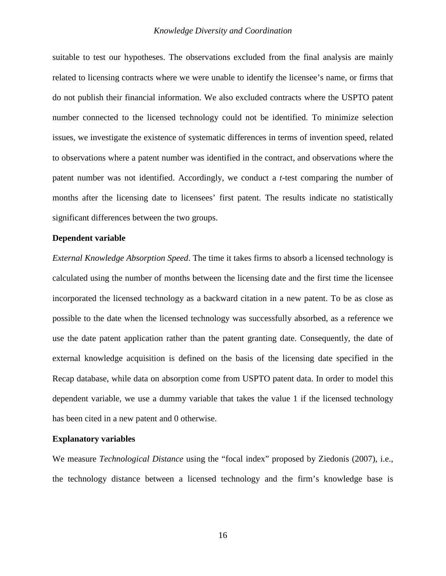suitable to test our hypotheses. The observations excluded from the final analysis are mainly related to licensing contracts where we were unable to identify the licensee's name, or firms that do not publish their financial information. We also excluded contracts where the USPTO patent number connected to the licensed technology could not be identified. To minimize selection issues, we investigate the existence of systematic differences in terms of invention speed, related to observations where a patent number was identified in the contract, and observations where the patent number was not identified. Accordingly, we conduct a *t*-test comparing the number of months after the licensing date to licensees' first patent. The results indicate no statistically significant differences between the two groups.

#### **Dependent variable**

*External Knowledge Absorption Speed*. The time it takes firms to absorb a licensed technology is calculated using the number of months between the licensing date and the first time the licensee incorporated the licensed technology as a backward citation in a new patent. To be as close as possible to the date when the licensed technology was successfully absorbed, as a reference we use the date patent application rather than the patent granting date. Consequently, the date of external knowledge acquisition is defined on the basis of the licensing date specified in the Recap database, while data on absorption come from USPTO patent data. In order to model this dependent variable, we use a dummy variable that takes the value 1 if the licensed technology has been cited in a new patent and 0 otherwise.

#### **Explanatory variables**

We measure *Technological Distance* using the "focal index" proposed by Ziedonis [\(2007\)](#page-38-17), i.e., the technology distance between a licensed technology and the firm's knowledge base is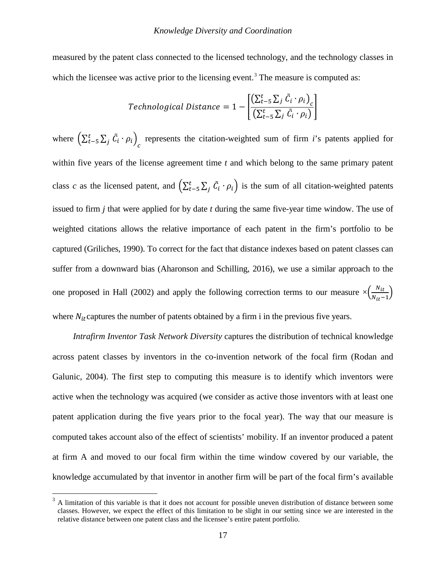measured by the patent class connected to the licensed technology, and the technology classes in which the licensee was active prior to the licensing event.<sup>[3](#page-17-0)</sup> The measure is computed as:

$$
Technical Distance = 1 - \left[ \frac{\left(\sum_{t=5}^{t} \sum_{j} \tilde{C}_{i} \cdot \rho_{i}\right)_{c}}{\left(\sum_{t=5}^{t} \sum_{j} \tilde{C}_{i} \cdot \rho_{i}\right)} \right]
$$

where  $\left(\sum_{t=5}^{t} \sum_{j} \tilde{C}_i \cdot \rho_i\right)_c$  represents the citation-weighted sum of firm *i*'s patents applied for within five years of the license agreement time *t* and which belong to the same primary patent class *c* as the licensed patent, and  $(\sum_{t=5}^{t} \sum_j \tilde{C}_i \cdot \rho_i)$  is the sum of all citation-weighted patents issued to firm *j* that were applied for by date *t* during the same five-year time window. The use of weighted citations allows the relative importance of each patent in the firm's portfolio to be captured [\(Griliches, 1990\)](#page-36-14). To correct for the fact that distance indexes based on patent classes can suffer from a downward bias [\(Aharonson and Schilling, 2016\)](#page-35-15), we use a similar approach to the one proposed in Hall [\(2002\)](#page-36-15) and apply the following correction terms to our measure  $\times \left(\frac{N_{it}}{N_{it}-1}\right)$ where  $N_i$  captures the number of patents obtained by a firm i in the previous five years.

*Intrafirm Inventor Task Network Diversity* captures the distribution of technical knowledge across patent classes by inventors in the co-invention network of the focal firm [\(Rodan and](#page-38-7)  [Galunic, 2004\)](#page-38-7). The first step to computing this measure is to identify which inventors were active when the technology was acquired (we consider as active those inventors with at least one patent application during the five years prior to the focal year). The way that our measure is computed takes account also of the effect of scientists' mobility. If an inventor produced a patent at firm A and moved to our focal firm within the time window covered by our variable, the knowledge accumulated by that inventor in another firm will be part of the focal firm's available

 $\overline{\phantom{a}}$ 

<span id="page-17-0"></span><sup>3</sup> A limitation of this variable is that it does not account for possible uneven distribution of distance between some classes. However, we expect the effect of this limitation to be slight in our setting since we are interested in the relative distance between one patent class and the licensee's entire patent portfolio.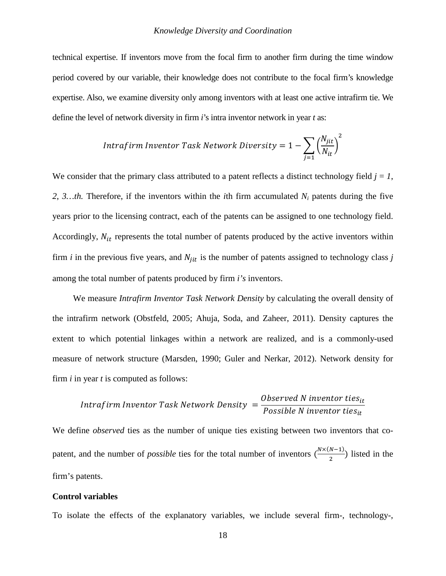technical expertise. If inventors move from the focal firm to another firm during the time window period covered by our variable, their knowledge does not contribute to the focal firm's knowledge expertise. Also, we examine diversity only among inventors with at least one active intrafirm tie. We define the level of network diversity in firm *i*'s intra inventor network in year *t* as:

$$
Intra firm\ Inventor Task\ Network\ Diversity = 1 - \sum_{j=1} \left(\frac{N_{jit}}{N_{it}}\right)^2
$$

We consider that the primary class attributed to a patent reflects a distinct technology field  $j = 1$ , *2*, *3…th.* Therefore, if the inventors within the *i*th firm accumulated *Ni* patents during the five years prior to the licensing contract, each of the patents can be assigned to one technology field. Accordingly,  $N_{it}$  represents the total number of patents produced by the active inventors within firm *i* in the previous five years, and  $N_{\text{fit}}$  is the number of patents assigned to technology class *j* among the total number of patents produced by firm *i's* inventors.

We measure *Intrafirm Inventor Task Network Density* by calculating the overall density of the intrafirm network [\(Obstfeld, 2005;](#page-37-15) [Ahuja, Soda, and Zaheer, 2011\)](#page-35-16). Density captures the extent to which potential linkages within a network are realized, and is a commonly-used measure of network structure [\(Marsden, 1990;](#page-37-16) [Guler and Nerkar, 2012\)](#page-36-4). Network density for firm *i* in year *t* is computed as follows:

$$
Intra firm\ Inventor\ Task\ Network\ Density = \frac{Observed\ N\ inventor\ ties_{it}}{Possible\ N\ inventor\ ties_{it}}
$$

We define *observed* ties as the number of unique ties existing between two inventors that copatent, and the number of *possible* ties for the total number of inventors  $\left(\frac{N \times (N-1)}{2}\right)$  listed in the firm's patents.

#### **Control variables**

To isolate the effects of the explanatory variables, we include several firm-, technology-,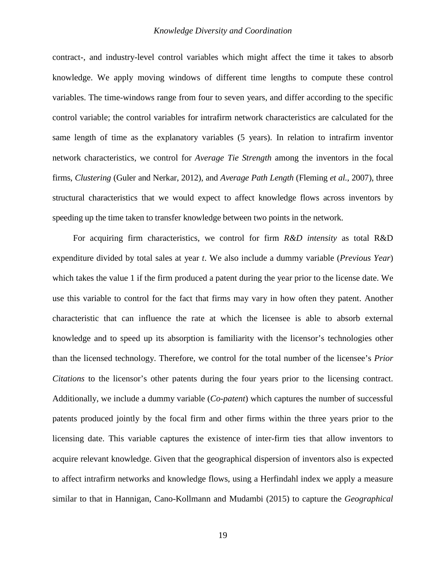contract-, and industry-level control variables which might affect the time it takes to absorb knowledge. We apply moving windows of different time lengths to compute these control variables. The time-windows range from four to seven years, and differ according to the specific control variable; the control variables for intrafirm network characteristics are calculated for the same length of time as the explanatory variables (5 years). In relation to intrafirm inventor network characteristics, we control for *Average Tie Strength* among the inventors in the focal firms, *Clustering* [\(Guler and Nerkar, 2012\)](#page-36-4), and *Average Path Length* [\(Fleming](#page-35-10) *et al.*, 2007), three structural characteristics that we would expect to affect knowledge flows across inventors by speeding up the time taken to transfer knowledge between two points in the network.

For acquiring firm characteristics, we control for firm *R&D intensity* as total R&D expenditure divided by total sales at year *t*. We also include a dummy variable (*Previous Year*) which takes the value 1 if the firm produced a patent during the year prior to the license date. We use this variable to control for the fact that firms may vary in how often they patent. Another characteristic that can influence the rate at which the licensee is able to absorb external knowledge and to speed up its absorption is familiarity with the licensor's technologies other than the licensed technology. Therefore, we control for the total number of the licensee's *Prior Citations* to the licensor's other patents during the four years prior to the licensing contract. Additionally, we include a dummy variable (*Co-patent*) which captures the number of successful patents produced jointly by the focal firm and other firms within the three years prior to the licensing date. This variable captures the existence of inter-firm ties that allow inventors to acquire relevant knowledge. Given that the geographical dispersion of inventors also is expected to affect intrafirm networks and knowledge flows, using a Herfindahl index we apply a measure similar to that in Hannigan, Cano-Kollmann and Mudambi [\(2015\)](#page-36-16) to capture the *Geographical*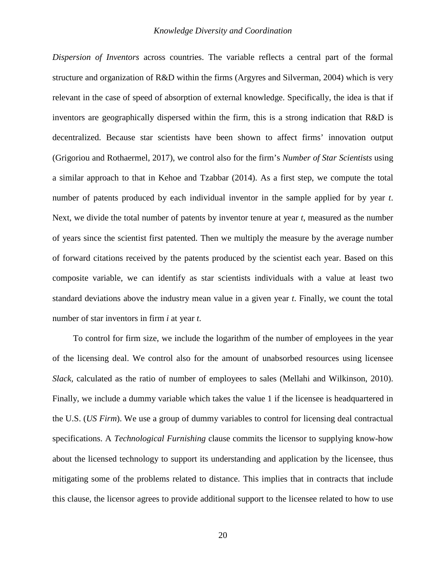*Dispersion of Inventors* across countries. The variable reflects a central part of the formal structure and organization of R&D within the firms [\(Argyres and Silverman, 2004\)](#page-35-17) which is very relevant in the case of speed of absorption of external knowledge. Specifically, the idea is that if inventors are geographically dispersed within the firm, this is a strong indication that R&D is decentralized. Because star scientists have been shown to affect firms' innovation output [\(Grigoriou and Rothaermel, 2017\)](#page-36-6), we control also for the firm's *Number of Star Scientists* using a similar approach to that in Kehoe and Tzabbar [\(2014\)](#page-38-18). As a first step, we compute the total number of patents produced by each individual inventor in the sample applied for by year *t*. Next, we divide the total number of patents by inventor tenure at year *t*, measured as the number of years since the scientist first patented. Then we multiply the measure by the average number of forward citations received by the patents produced by the scientist each year. Based on this composite variable, we can identify as star scientists individuals with a value at least two standard deviations above the industry mean value in a given year *t*. Finally, we count the total number of star inventors in firm *i* at year *t*.

To control for firm size, we include the logarithm of the number of employees in the year of the licensing deal. We control also for the amount of unabsorbed resources using licensee *Slack,* calculated as the ratio of number of employees to sales [\(Mellahi and Wilkinson, 2010\)](#page-37-17). Finally, we include a dummy variable which takes the value 1 if the licensee is headquartered in the U.S. (*US Firm*). We use a group of dummy variables to control for licensing deal contractual specifications. A *Technological Furnishing* clause commits the licensor to supplying know-how about the licensed technology to support its understanding and application by the licensee, thus mitigating some of the problems related to distance. This implies that in contracts that include this clause, the licensor agrees to provide additional support to the licensee related to how to use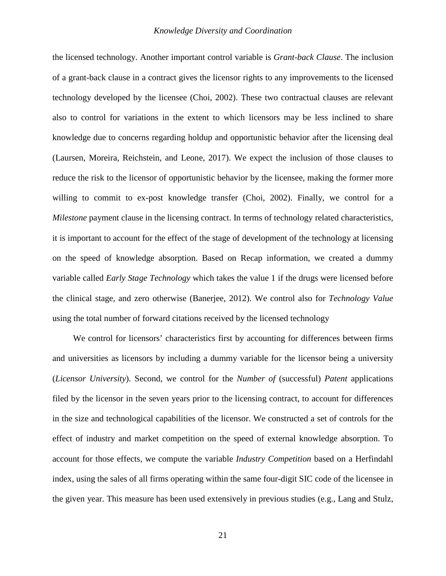the licensed technology. Another important control variable is *Grant-back Clause*. The inclusion of a grant-back clause in a contract gives the licensor rights to any improvements to the licensed technology developed by the licensee [\(Choi, 2002\)](#page-35-18). These two contractual clauses are relevant also to control for variations in the extent to which licensors may be less inclined to share knowledge due to concerns regarding holdup and opportunistic behavior after the licensing deal [\(Laursen, Moreira, Reichstein, and Leone, 2017\)](#page-36-17). We expect the inclusion of those clauses to reduce the risk to the licensor of opportunistic behavior by the licensee, making the former more willing to commit to ex-post knowledge transfer [\(Choi, 2002\)](#page-35-18). Finally, we control for a *Milestone* payment clause in the licensing contract. In terms of technology related characteristics, it is important to account for the effect of the stage of development of the technology at licensing on the speed of knowledge absorption. Based on Recap information, we created a dummy variable called *Early Stage Technology* which takes the value 1 if the drugs were licensed before the clinical stage*,* and zero otherwise [\(Banerjee, 2012\)](#page-35-19). We control also for *Technology Value* using the total number of forward citations received by the licensed technology

We control for licensors' characteristics first by accounting for differences between firms and universities as licensors by including a dummy variable for the licensor being a university (*Licensor University*). Second, we control for the *Number of* (successful) *Patent* applications filed by the licensor in the seven years prior to the licensing contract, to account for differences in the size and technological capabilities of the licensor. We constructed a set of controls for the effect of industry and market competition on the speed of external knowledge absorption. To account for those effects, we compute the variable *Industry Competition* based on a Herfindahl index, using the sales of all firms operating within the same four-digit SIC code of the licensee in the given year. This measure has been used extensively in previous studies (e.g., [Lang and Stulz,](#page-36-18)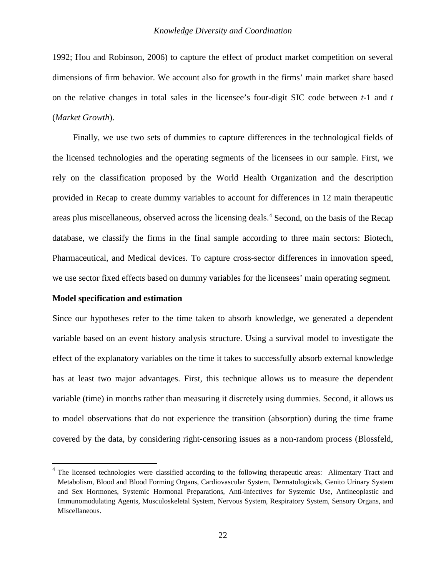[1992;](#page-36-18) [Hou and Robinson, 2006\)](#page-36-19) to capture the effect of product market competition on several dimensions of firm behavior. We account also for growth in the firms' main market share based on the relative changes in total sales in the licensee's four-digit SIC code between *t*-1 and *t* (*Market Growth*).

Finally, we use two sets of dummies to capture differences in the technological fields of the licensed technologies and the operating segments of the licensees in our sample. First, we rely on the classification proposed by the World Health Organization and the description provided in Recap to create dummy variables to account for differences in 12 main therapeutic areas plus miscellaneous, observed across the licensing deals.<sup>[4](#page-22-0)</sup> Second, on the basis of the Recap database, we classify the firms in the final sample according to three main sectors: Biotech, Pharmaceutical, and Medical devices. To capture cross-sector differences in innovation speed, we use sector fixed effects based on dummy variables for the licensees' main operating segment.

#### **Model specification and estimation**

 $\overline{\phantom{a}}$ 

Since our hypotheses refer to the time taken to absorb knowledge, we generated a dependent variable based on an event history analysis structure. Using a survival model to investigate the effect of the explanatory variables on the time it takes to successfully absorb external knowledge has at least two major advantages. First, this technique allows us to measure the dependent variable (time) in months rather than measuring it discretely using dummies. Second, it allows us to model observations that do not experience the transition (absorption) during the time frame covered by the data, by considering right-censoring issues as a non-random process [\(Blossfeld,](#page-35-20) 

<span id="page-22-0"></span><sup>&</sup>lt;sup>4</sup> The licensed technologies were classified according to the following therapeutic areas: Alimentary Tract and Metabolism, Blood and Blood Forming Organs, Cardiovascular System, Dermatologicals, Genito Urinary System and Sex Hormones, Systemic Hormonal Preparations, Anti-infectives for Systemic Use, Antineoplastic and Immunomodulating Agents, Musculoskeletal System, Nervous System, Respiratory System, Sensory Organs, and Miscellaneous.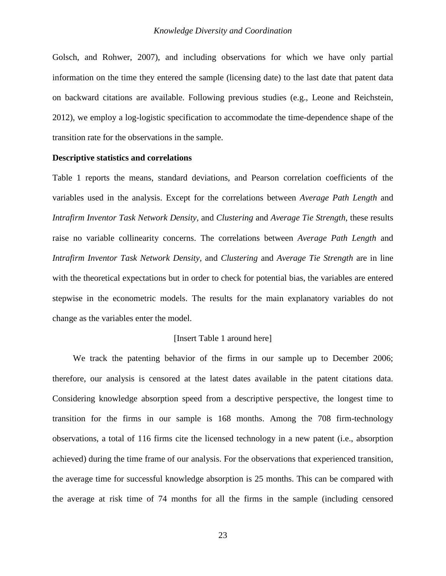[Golsch, and Rohwer, 2007\)](#page-35-20), and including observations for which we have only partial information on the time they entered the sample (licensing date) to the last date that patent data on backward citations are available. Following previous studies [\(e.g., Leone and Reichstein,](#page-37-1)  [2012\)](#page-37-1), we employ a log-logistic specification to accommodate the time-dependence shape of the transition rate for the observations in the sample.

#### **Descriptive statistics and correlations**

Table 1 reports the means, standard deviations, and Pearson correlation coefficients of the variables used in the analysis. Except for the correlations between *Average Path Length* and *Intrafirm Inventor Task Network Density,* and *Clustering* and *Average Tie Strength*, these results raise no variable collinearity concerns. The correlations between *Average Path Length* and *Intrafirm Inventor Task Network Density,* and *Clustering* and *Average Tie Strength* are in line with the theoretical expectations but in order to check for potential bias, the variables are entered stepwise in the econometric models. The results for the main explanatory variables do not change as the variables enter the model.

#### [Insert Table 1 around here]

We track the patenting behavior of the firms in our sample up to December 2006; therefore, our analysis is censored at the latest dates available in the patent citations data. Considering knowledge absorption speed from a descriptive perspective, the longest time to transition for the firms in our sample is 168 months. Among the 708 firm-technology observations, a total of 116 firms cite the licensed technology in a new patent (i.e., absorption achieved) during the time frame of our analysis. For the observations that experienced transition, the average time for successful knowledge absorption is 25 months. This can be compared with the average at risk time of 74 months for all the firms in the sample (including censored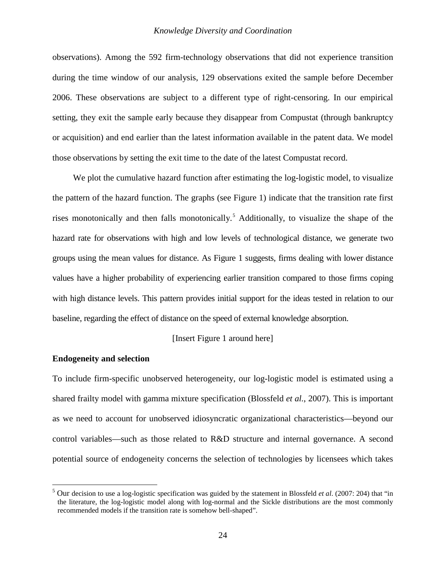observations). Among the 592 firm-technology observations that did not experience transition during the time window of our analysis, 129 observations exited the sample before December 2006. These observations are subject to a different type of right-censoring. In our empirical setting, they exit the sample early because they disappear from Compustat (through bankruptcy or acquisition) and end earlier than the latest information available in the patent data. We model those observations by setting the exit time to the date of the latest Compustat record.

We plot the cumulative hazard function after estimating the log-logistic model, to visualize the pattern of the hazard function. The graphs (see Figure 1) indicate that the transition rate first rises monotonically and then falls monotonically. [5](#page-24-0) Additionally, to visualize the shape of the hazard rate for observations with high and low levels of technological distance, we generate two groups using the mean values for distance. As Figure 1 suggests, firms dealing with lower distance values have a higher probability of experiencing earlier transition compared to those firms coping with high distance levels. This pattern provides initial support for the ideas tested in relation to our baseline, regarding the effect of distance on the speed of external knowledge absorption.

#### [Insert Figure 1 around here]

#### **Endogeneity and selection**

l

To include firm-specific unobserved heterogeneity, our log-logistic model is estimated using a shared frailty model with gamma mixture specification [\(Blossfeld](#page-35-20) *et al.*, 2007). This is important as we need to account for unobserved idiosyncratic organizational characteristics—beyond our control variables—such as those related to R&D structure and internal governance. A second potential source of endogeneity concerns the selection of technologies by licensees which takes

<span id="page-24-0"></span><sup>5</sup> Our decision to use a log-logistic specification was guided by the statement in Blossfeld *et al*. (2007: 204) that "in the literature, the log-logistic model along with log-normal and the Sickle distributions are the most commonly recommended models if the transition rate is somehow bell-shaped".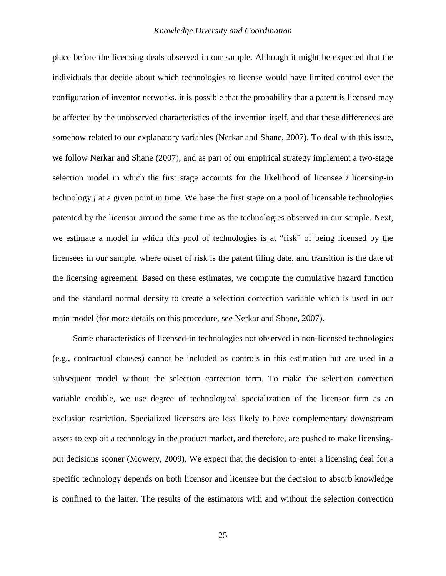place before the licensing deals observed in our sample. Although it might be expected that the individuals that decide about which technologies to license would have limited control over the configuration of inventor networks, it is possible that the probability that a patent is licensed may be affected by the unobserved characteristics of the invention itself, and that these differences are somehow related to our explanatory variables [\(Nerkar and Shane, 2007\)](#page-37-18). To deal with this issue, we follow Nerkar and Shane [\(2007\)](#page-37-18), and as part of our empirical strategy implement a two-stage selection model in which the first stage accounts for the likelihood of licensee  $i$  licensing-in technology *j* at a given point in time. We base the first stage on a pool of licensable technologies patented by the licensor around the same time as the technologies observed in our sample. Next, we estimate a model in which this pool of technologies is at "risk" of being licensed by the licensees in our sample, where onset of risk is the patent filing date, and transition is the date of the licensing agreement. Based on these estimates, we compute the cumulative hazard function and the standard normal density to create a selection correction variable which is used in our main model [\(for more details on this procedure, see Nerkar and Shane, 2007\)](#page-37-18).

Some characteristics of licensed-in technologies not observed in non-licensed technologies (e.g., contractual clauses) cannot be included as controls in this estimation but are used in a subsequent model without the selection correction term. To make the selection correction variable credible, we use degree of technological specialization of the licensor firm as an exclusion restriction. Specialized licensors are less likely to have complementary downstream assets to exploit a technology in the product market, and therefore, are pushed to make licensingout decisions sooner [\(Mowery, 2009\)](#page-37-19). We expect that the decision to enter a licensing deal for a specific technology depends on both licensor and licensee but the decision to absorb knowledge is confined to the latter. The results of the estimators with and without the selection correction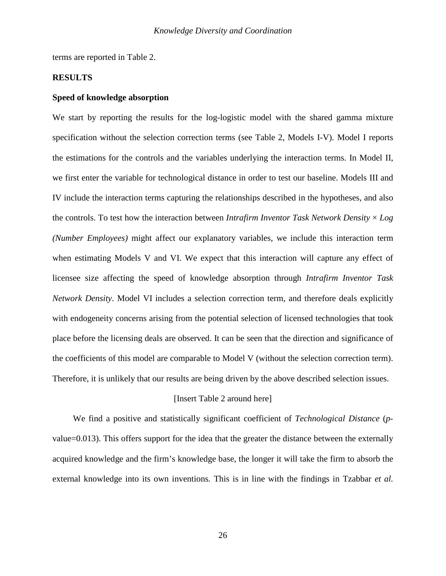terms are reported in Table 2.

#### **RESULTS**

#### **Speed of knowledge absorption**

We start by reporting the results for the log-logistic model with the shared gamma mixture specification without the selection correction terms (see Table 2, Models I-V). Model I reports the estimations for the controls and the variables underlying the interaction terms. In Model II, we first enter the variable for technological distance in order to test our baseline. Models III and IV include the interaction terms capturing the relationships described in the hypotheses, and also the controls. To test how the interaction between *Intrafirm Inventor Task Network Density*  $\times$  *Log (Number Employees)* might affect our explanatory variables, we include this interaction term when estimating Models V and VI. We expect that this interaction will capture any effect of licensee size affecting the speed of knowledge absorption through *Intrafirm Inventor Task Network Density*. Model VI includes a selection correction term, and therefore deals explicitly with endogeneity concerns arising from the potential selection of licensed technologies that took place before the licensing deals are observed. It can be seen that the direction and significance of the coefficients of this model are comparable to Model V (without the selection correction term). Therefore, it is unlikely that our results are being driven by the above described selection issues.

#### [Insert Table 2 around here]

We find a positive and statistically significant coefficient of *Technological Distance* (*p*value=0.013). This offers support for the idea that the greater the distance between the externally acquired knowledge and the firm's knowledge base, the longer it will take the firm to absorb the external knowledge into its own inventions*.* This is in line with the findings in Tzabbar *et al.*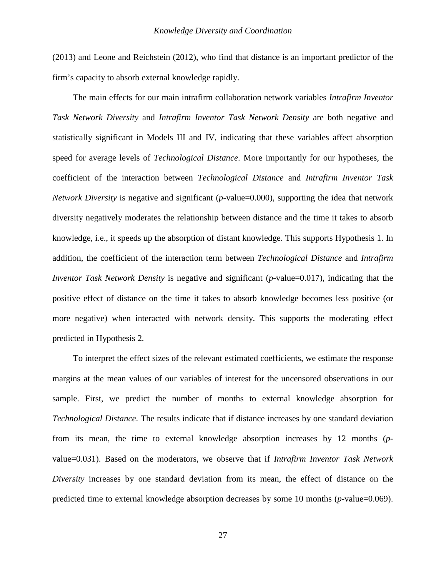[\(2013\)](#page-38-2) and Leone and Reichstein [\(2012\)](#page-37-1), who find that distance is an important predictor of the firm's capacity to absorb external knowledge rapidly.

The main effects for our main intrafirm collaboration network variables *Intrafirm Inventor Task Network Diversity* and *Intrafirm Inventor Task Network Density* are both negative and statistically significant in Models III and IV, indicating that these variables affect absorption speed for average levels of *Technological Distance*. More importantly for our hypotheses, the coefficient of the interaction between *Technological Distance* and *Intrafirm Inventor Task Network Diversity* is negative and significant (*p*-value=0.000), supporting the idea that network diversity negatively moderates the relationship between distance and the time it takes to absorb knowledge, i.e., it speeds up the absorption of distant knowledge. This supports Hypothesis 1. In addition, the coefficient of the interaction term between *Technological Distance* and *Intrafirm Inventor Task Network Density* is negative and significant (*p*-value=0.017), indicating that the positive effect of distance on the time it takes to absorb knowledge becomes less positive (or more negative) when interacted with network density. This supports the moderating effect predicted in Hypothesis 2*.* 

To interpret the effect sizes of the relevant estimated coefficients, we estimate the response margins at the mean values of our variables of interest for the uncensored observations in our sample. First, we predict the number of months to external knowledge absorption for *Technological Distance*. The results indicate that if distance increases by one standard deviation from its mean, the time to external knowledge absorption increases by 12 months (*p*value=0.031). Based on the moderators, we observe that if *Intrafirm Inventor Task Network Diversity* increases by one standard deviation from its mean, the effect of distance on the predicted time to external knowledge absorption decreases by some 10 months (*p*-value=0.069).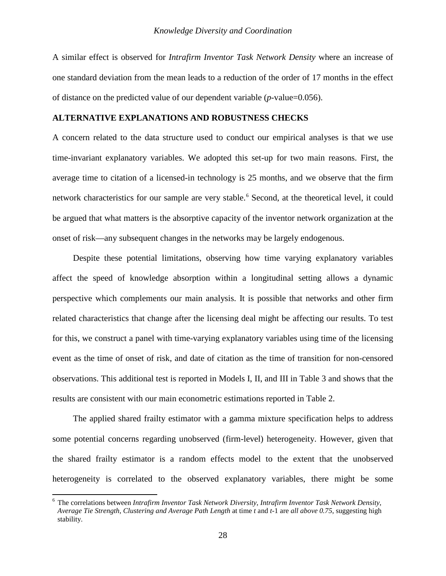A similar effect is observed for *Intrafirm Inventor Task Network Density* where an increase of one standard deviation from the mean leads to a reduction of the order of 17 months in the effect of distance on the predicted value of our dependent variable (*p*-value=0.056).

### **ALTERNATIVE EXPLANATIONS AND ROBUSTNESS CHECKS**

A concern related to the data structure used to conduct our empirical analyses is that we use time-invariant explanatory variables. We adopted this set-up for two main reasons. First, the average time to citation of a licensed-in technology is 25 months, and we observe that the firm network characteristics for our sample are very stable.<sup>[6](#page-28-0)</sup> Second, at the theoretical level, it could be argued that what matters is the absorptive capacity of the inventor network organization at the onset of risk—any subsequent changes in the networks may be largely endogenous.

Despite these potential limitations, observing how time varying explanatory variables affect the speed of knowledge absorption within a longitudinal setting allows a dynamic perspective which complements our main analysis. It is possible that networks and other firm related characteristics that change after the licensing deal might be affecting our results. To test for this, we construct a panel with time-varying explanatory variables using time of the licensing event as the time of onset of risk, and date of citation as the time of transition for non-censored observations. This additional test is reported in Models I, II, and III in Table 3 and shows that the results are consistent with our main econometric estimations reported in Table 2.

The applied shared frailty estimator with a gamma mixture specification helps to address some potential concerns regarding unobserved (firm-level) heterogeneity. However, given that the shared frailty estimator is a random effects model to the extent that the unobserved heterogeneity is correlated to the observed explanatory variables, there might be some

 $\overline{\phantom{a}}$ 

<span id="page-28-0"></span><sup>6</sup> The correlations between *Intrafirm Inventor Task Network Diversity*, *Intrafirm Inventor Task Network Density*, *Average Tie Strength*, *Clustering and Average Path Length* at time *t* and *t*-1 are *all above 0.75*, suggesting high stability.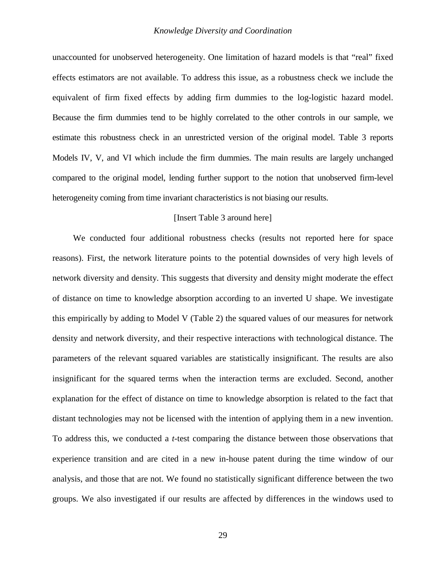unaccounted for unobserved heterogeneity. One limitation of hazard models is that "real" fixed effects estimators are not available. To address this issue, as a robustness check we include the equivalent of firm fixed effects by adding firm dummies to the log-logistic hazard model. Because the firm dummies tend to be highly correlated to the other controls in our sample, we estimate this robustness check in an unrestricted version of the original model. Table 3 reports Models IV, V, and VI which include the firm dummies. The main results are largely unchanged compared to the original model, lending further support to the notion that unobserved firm-level heterogeneity coming from time invariant characteristics is not biasing our results.

#### [Insert Table 3 around here]

We conducted four additional robustness checks (results not reported here for space reasons). First, the network literature points to the potential downsides of very high levels of network diversity and density. This suggests that diversity and density might moderate the effect of distance on time to knowledge absorption according to an inverted U shape. We investigate this empirically by adding to Model V (Table 2) the squared values of our measures for network density and network diversity, and their respective interactions with technological distance. The parameters of the relevant squared variables are statistically insignificant. The results are also insignificant for the squared terms when the interaction terms are excluded. Second, another explanation for the effect of distance on time to knowledge absorption is related to the fact that distant technologies may not be licensed with the intention of applying them in a new invention. To address this, we conducted a *t*-test comparing the distance between those observations that experience transition and are cited in a new in-house patent during the time window of our analysis, and those that are not. We found no statistically significant difference between the two groups. We also investigated if our results are affected by differences in the windows used to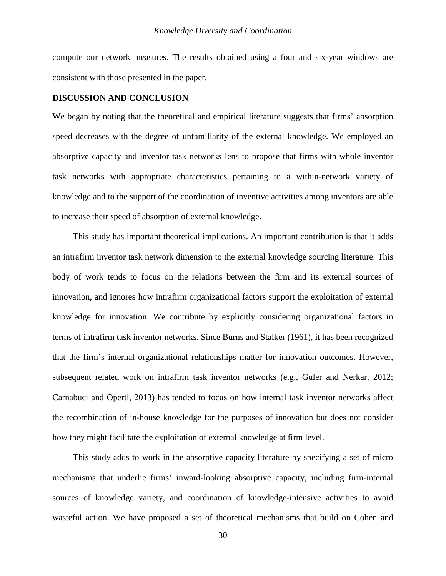compute our network measures. The results obtained using a four and six-year windows are consistent with those presented in the paper.

#### **DISCUSSION AND CONCLUSION**

We began by noting that the theoretical and empirical literature suggests that firms' absorption speed decreases with the degree of unfamiliarity of the external knowledge. We employed an absorptive capacity and inventor task networks lens to propose that firms with whole inventor task networks with appropriate characteristics pertaining to a within-network variety of knowledge and to the support of the coordination of inventive activities among inventors are able to increase their speed of absorption of external knowledge.

This study has important theoretical implications. An important contribution is that it adds an intrafirm inventor task network dimension to the external knowledge sourcing literature. This body of work tends to focus on the relations between the firm and its external sources of innovation, and ignores how intrafirm organizational factors support the exploitation of external knowledge for innovation. We contribute by explicitly considering organizational factors in terms of intrafirm task inventor networks. Since Burns and Stalker [\(1961\)](#page-35-21), it has been recognized that the firm's internal organizational relationships matter for innovation outcomes. However, subsequent related work on intrafirm task inventor networks (e.g., [Guler and Nerkar, 2012;](#page-36-4) [Carnabuci and Operti, 2013\)](#page-35-5) has tended to focus on how internal task inventor networks affect the recombination of in-house knowledge for the purposes of innovation but does not consider how they might facilitate the exploitation of external knowledge at firm level.

This study adds to work in the absorptive capacity literature by specifying a set of micro mechanisms that underlie firms' inward-looking absorptive capacity, including firm-internal sources of knowledge variety, and coordination of knowledge-intensive activities to avoid wasteful action. We have proposed a set of theoretical mechanisms that build on Cohen and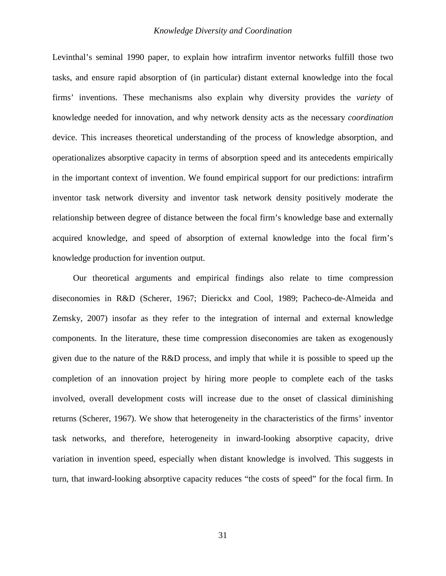Levinthal's seminal 1990 paper, to explain how intrafirm inventor networks fulfill those two tasks, and ensure rapid absorption of (in particular) distant external knowledge into the focal firms' inventions. These mechanisms also explain why diversity provides the *variety* of knowledge needed for innovation, and why network density acts as the necessary *coordination* device. This increases theoretical understanding of the process of knowledge absorption, and operationalizes absorptive capacity in terms of absorption speed and its antecedents empirically in the important context of invention. We found empirical support for our predictions: intrafirm inventor task network diversity and inventor task network density positively moderate the relationship between degree of distance between the focal firm's knowledge base and externally acquired knowledge, and speed of absorption of external knowledge into the focal firm's knowledge production for invention output.

Our theoretical arguments and empirical findings also relate to time compression diseconomies in R&D [\(Scherer, 1967;](#page-38-19) [Dierickx and Cool, 1989;](#page-35-22) [Pacheco-de-Almeida and](#page-37-20)  [Zemsky, 2007\)](#page-37-20) insofar as they refer to the integration of internal and external knowledge components. In the literature, these time compression diseconomies are taken as exogenously given due to the nature of the R&D process, and imply that while it is possible to speed up the completion of an innovation project by hiring more people to complete each of the tasks involved, overall development costs will increase due to the onset of classical diminishing returns [\(Scherer, 1967\)](#page-38-19). We show that heterogeneity in the characteristics of the firms' inventor task networks, and therefore, heterogeneity in inward-looking absorptive capacity, drive variation in invention speed, especially when distant knowledge is involved. This suggests in turn, that inward-looking absorptive capacity reduces "the costs of speed" for the focal firm. In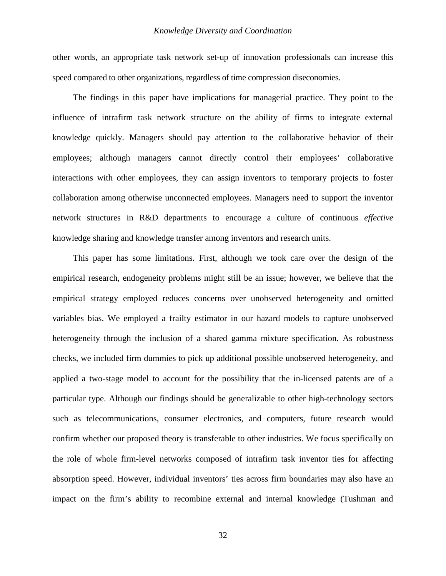other words, an appropriate task network set-up of innovation professionals can increase this speed compared to other organizations, regardless of time compression diseconomies.

The findings in this paper have implications for managerial practice. They point to the influence of intrafirm task network structure on the ability of firms to integrate external knowledge quickly. Managers should pay attention to the collaborative behavior of their employees; although managers cannot directly control their employees' collaborative interactions with other employees, they can assign inventors to temporary projects to foster collaboration among otherwise unconnected employees. Managers need to support the inventor network structures in R&D departments to encourage a culture of continuous *effective* knowledge sharing and knowledge transfer among inventors and research units.

This paper has some limitations. First, although we took care over the design of the empirical research, endogeneity problems might still be an issue; however, we believe that the empirical strategy employed reduces concerns over unobserved heterogeneity and omitted variables bias. We employed a frailty estimator in our hazard models to capture unobserved heterogeneity through the inclusion of a shared gamma mixture specification. As robustness checks, we included firm dummies to pick up additional possible unobserved heterogeneity, and applied a two-stage model to account for the possibility that the in-licensed patents are of a particular type. Although our findings should be generalizable to other high-technology sectors such as telecommunications, consumer electronics, and computers, future research would confirm whether our proposed theory is transferable to other industries. We focus specifically on the role of whole firm-level networks composed of intrafirm task inventor ties for affecting absorption speed. However, individual inventors' ties across firm boundaries may also have an impact on the firm's ability to recombine external and internal knowledge [\(Tushman and](#page-38-20)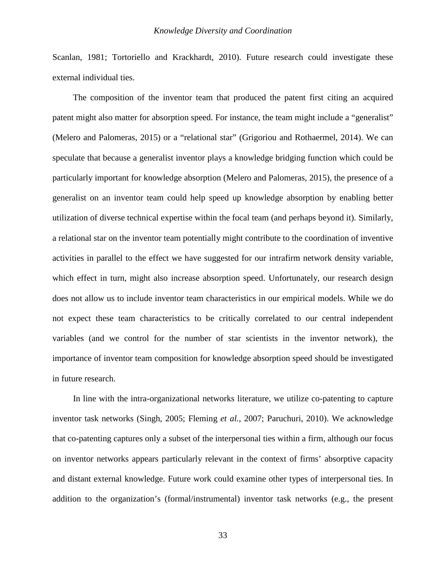[Scanlan, 1981;](#page-38-20) [Tortoriello and Krackhardt, 2010\)](#page-38-21). Future research could investigate these external individual ties.

The composition of the inventor team that produced the patent first citing an acquired patent might also matter for absorption speed. For instance, the team might include a "generalist" [\(Melero and Palomeras, 2015\)](#page-37-21) or a "relational star" [\(Grigoriou and Rothaermel, 2014\)](#page-36-5). We can speculate that because a generalist inventor plays a knowledge bridging function which could be particularly important for knowledge absorption [\(Melero and Palomeras, 2015\)](#page-37-21), the presence of a generalist on an inventor team could help speed up knowledge absorption by enabling better utilization of diverse technical expertise within the focal team (and perhaps beyond it). Similarly, a relational star on the inventor team potentially might contribute to the coordination of inventive activities in parallel to the effect we have suggested for our intrafirm network density variable, which effect in turn, might also increase absorption speed. Unfortunately, our research design does not allow us to include inventor team characteristics in our empirical models. While we do not expect these team characteristics to be critically correlated to our central independent variables (and we control for the number of star scientists in the inventor network), the importance of inventor team composition for knowledge absorption speed should be investigated in future research.

In line with the intra-organizational networks literature, we utilize co-patenting to capture inventor task networks [\(Singh, 2005;](#page-38-5) [Fleming](#page-35-10) *et al.*, 2007; [Paruchuri, 2010\)](#page-37-3). We acknowledge that co-patenting captures only a subset of the interpersonal ties within a firm, although our focus on inventor networks appears particularly relevant in the context of firms' absorptive capacity and distant external knowledge. Future work could examine other types of interpersonal ties. In addition to the organization's (formal/instrumental) inventor task networks (e.g., the present

33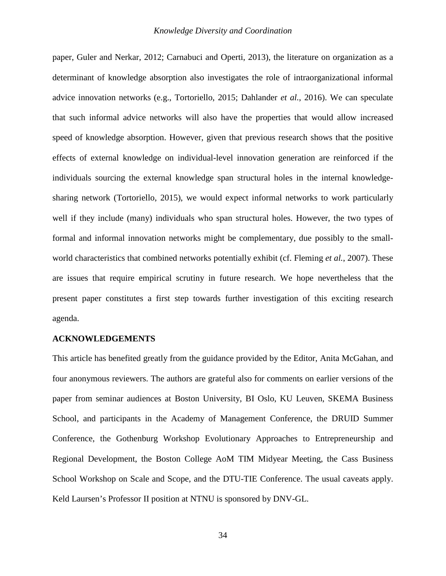paper, [Guler and Nerkar, 2012;](#page-36-4) [Carnabuci and Operti, 2013\)](#page-35-5), the literature on organization as a determinant of knowledge absorption also investigates the role of intraorganizational informal advice innovation networks (e.g., [Tortoriello, 2015;](#page-38-1) [Dahlander](#page-35-7) *et al.*, 2016). We can speculate that such informal advice networks will also have the properties that would allow increased speed of knowledge absorption. However, given that previous research shows that the positive effects of external knowledge on individual-level innovation generation are reinforced if the individuals sourcing the external knowledge span structural holes in the internal knowledgesharing network [\(Tortoriello, 2015\)](#page-38-1), we would expect informal networks to work particularly well if they include (many) individuals who span structural holes. However, the two types of formal and informal innovation networks might be complementary, due possibly to the smallworld characteristics that combined networks potentially exhibit [\(cf. Fleming](#page-35-10) *et al.*, 2007). These are issues that require empirical scrutiny in future research. We hope nevertheless that the present paper constitutes a first step towards further investigation of this exciting research agenda.

#### **ACKNOWLEDGEMENTS**

This article has benefited greatly from the guidance provided by the Editor, Anita McGahan, and four anonymous reviewers. The authors are grateful also for comments on earlier versions of the paper from seminar audiences at Boston University, BI Oslo, KU Leuven, SKEMA Business School, and participants in the Academy of Management Conference, the DRUID Summer Conference, the Gothenburg Workshop Evolutionary Approaches to Entrepreneurship and Regional Development, the Boston College AoM TIM Midyear Meeting, the Cass Business School Workshop on Scale and Scope, and the DTU-TIE Conference. The usual caveats apply. Keld Laursen's Professor II position at NTNU is sponsored by DNV-GL.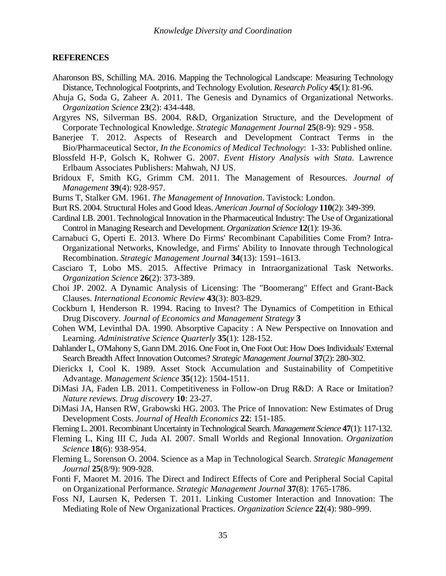#### **REFERENCES**

- <span id="page-35-15"></span>Aharonson BS, Schilling MA. 2016. Mapping the Technological Landscape: Measuring Technology Distance, Technological Footprints, and Technology Evolution. *Research Policy* **45**(1): 81-96.
- <span id="page-35-16"></span>Ahuja G, Soda G, Zaheer A. 2011. The Genesis and Dynamics of Organizational Networks. *Organization Science* **23**(2): 434-448.
- <span id="page-35-17"></span>Argyres NS, Silverman BS. 2004. R&D, Organization Structure, and the Development of Corporate Technological Knowledge. *Strategic Management Journal* **25**(8-9): 929 - 958.
- <span id="page-35-19"></span>Banerjee T. 2012. Aspects of Research and Development Contract Terms in the Bio/Pharmaceutical Sector, *In the Economics of Medical Technology*: 1-33: Published online.
- <span id="page-35-20"></span>Blossfeld H-P, Golsch K, Rohwer G. 2007. *Event History Analysis with Stata*. Lawrence Erlbaum Associates Publishers: Mahwah, NJ US.
- <span id="page-35-2"></span>Bridoux F, Smith KG, Grimm CM. 2011. The Management of Resources. *Journal of Management* **39**(4): 928-957.
- <span id="page-35-21"></span>Burns T, Stalker GM. 1961. *The Management of Innovation*. Tavistock: London.
- <span id="page-35-11"></span>Burt RS. 2004. Structural Holes and Good Ideas. *American Journal of Sociology* **110**(2): 349-399.
- <span id="page-35-6"></span>Cardinal LB. 2001. Technological Innovation in the Pharmaceutical Industry: The Use of Organizational Control in Managing Research and Development. *Organization Science* **12**(1): 19-36.
- <span id="page-35-5"></span>Carnabuci G, Operti E. 2013. Where Do Firms' Recombinant Capabilities Come From? Intra-Organizational Networks, Knowledge, and Firms' Ability to Innovate through Technological Recombination. *Strategic Management Journal* **34**(13): 1591–1613.
- <span id="page-35-3"></span>Casciaro T, Lobo MS. 2015. Affective Primacy in Intraorganizational Task Networks. *Organization Science* **26**(2): 373-389.
- <span id="page-35-18"></span>Choi JP. 2002. A Dynamic Analysis of Licensing: The "Boomerang" Effect and Grant-Back Clauses. *International Economic Review* **43**(3): 803-829.
- <span id="page-35-12"></span>Cockburn I, Henderson R. 1994. Racing to Invest? The Dynamics of Competition in Ethical Drug Discovery. *Journal of Economics and Management Strategy* **3**
- <span id="page-35-0"></span>Cohen WM, Levinthal DA. 1990. Absorptive Capacity : A New Perspective on Innovation and Learning. *Administrative Science Quarterly* **35**(1): 128-152.
- <span id="page-35-7"></span>Dahlander L, O'Mahony S, Gann DM. 2016. One Foot in, One Foot Out: How Does Individuals' External Search Breadth Affect Innovation Outcomes? *Strategic Management Journal* **37**(2): 280-302.
- <span id="page-35-22"></span>Dierickx I, Cool K. 1989. Asset Stock Accumulation and Sustainability of Competitive Advantage. *Management Science* **35**(12): 1504-1511.
- <span id="page-35-13"></span>DiMasi JA, Faden LB. 2011. Competitiveness in Follow-on Drug R&D: A Race or Imitation? *Nature reviews. Drug discovery* **10**: 23-27.
- <span id="page-35-14"></span>DiMasi JA, Hansen RW, Grabowski HG. 2003. The Price of Innovation: New Estimates of Drug Development Costs. *Journal of Health Economics* **22**: 151-185.
- <span id="page-35-8"></span>Fleming L. 2001. Recombinant Uncertainty in Technological Search. *Management Science* **47**(1): 117-132.
- <span id="page-35-10"></span>Fleming L, King III C, Juda AI. 2007. Small Worlds and Regional Innovation. *Organization Science* **18**(6): 938-954.
- <span id="page-35-9"></span>Fleming L, Sorenson O. 2004. Science as a Map in Technological Search. *Strategic Management Journal* **25**(8/9): 909-928.
- <span id="page-35-4"></span>Fonti F, Maoret M. 2016. The Direct and Indirect Effects of Core and Peripheral Social Capital on Organizational Performance. *Strategic Management Journal* **37**(8): 1765-1786.
- <span id="page-35-1"></span>Foss NJ, Laursen K, Pedersen T. 2011. Linking Customer Interaction and Innovation: The Mediating Role of New Organizational Practices. *Organization Science* **22**(4): 980–999.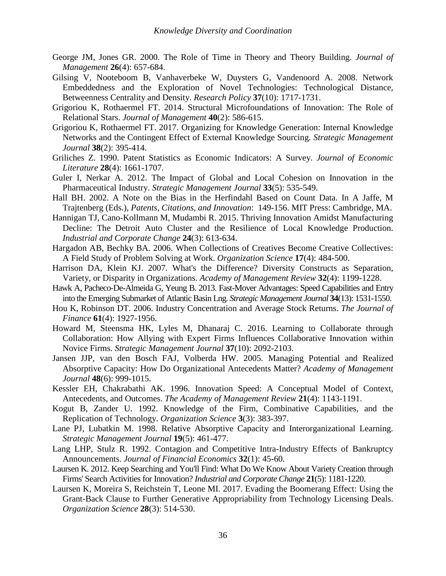- <span id="page-36-2"></span>George JM, Jones GR. 2000. The Role of Time in Theory and Theory Building. *Journal of Management* **26**(4): 657-684.
- <span id="page-36-11"></span>Gilsing V, Nooteboom B, Vanhaverbeke W, Duysters G, Vandenoord A. 2008. Network Embeddedness and the Exploration of Novel Technologies: Technological Distance, Betweenness Centrality and Density. *Research Policy* **37**(10): 1717-1731.
- <span id="page-36-5"></span>Grigoriou K, Rothaermel FT. 2014. Structural Microfoundations of Innovation: The Role of Relational Stars. *Journal of Management* **40**(2): 586-615.
- <span id="page-36-6"></span>Grigoriou K, Rothaermel FT. 2017. Organizing for Knowledge Generation: Internal Knowledge Networks and the Contingent Effect of External Knowledge Sourcing. *Strategic Management Journal* **38**(2): 395-414.
- <span id="page-36-14"></span>Griliches Z. 1990. Patent Statistics as Economic Indicators: A Survey. *Journal of Economic Literature* **28**(4): 1661-1707.
- <span id="page-36-4"></span>Guler I, Nerkar A. 2012. The Impact of Global and Local Cohesion on Innovation in the Pharmaceutical Industry. *Strategic Management Journal* **33**(5): 535-549.
- <span id="page-36-15"></span>Hall BH. 2002. A Note on the Bias in the Herfindahl Based on Count Data. In A Jaffe, M Trajtenberg (Eds.), *Patents, Citations, and Innovation*: 149-156. MIT Press: Cambridge, MA.
- <span id="page-36-16"></span>Hannigan TJ, Cano-Kollmann M, Mudambi R. 2015. Thriving Innovation Amidst Manufacturing Decline: The Detroit Auto Cluster and the Resilience of Local Knowledge Production. *Industrial and Corporate Change* **24**(3): 613-634.
- <span id="page-36-8"></span>Hargadon AB, Bechky BA. 2006. When Collections of Creatives Become Creative Collectives: A Field Study of Problem Solving at Work. *Organization Science* **17**(4): 484-500.
- <span id="page-36-12"></span>Harrison DA, Klein KJ. 2007. What's the Difference? Diversity Constructs as Separation, Variety, or Disparity in Organizations. *Academy of Management Review* **32**(4): 1199-1228.
- <span id="page-36-13"></span>Hawk A, Pacheco-De-Almeida G, Yeung B. 2013. Fast-Mover Advantages: Speed Capabilities and Entry into the Emerging Submarket of Atlantic Basin Lng. *Strategic Management Journal* **34**(13): 1531-1550.
- <span id="page-36-19"></span>Hou K, Robinson DT. 2006. Industry Concentration and Average Stock Returns. *The Journal of Finance* **61**(4): 1927-1956.
- <span id="page-36-7"></span>Howard M, Steensma HK, Lyles M, Dhanaraj C. 2016. Learning to Collaborate through Collaboration: How Allying with Expert Firms Influences Collaborative Innovation within Novice Firms. *Strategic Management Journal* **37**(10): 2092-2103.
- <span id="page-36-1"></span>Jansen JJP, van den Bosch FAJ, Volberda HW. 2005. Managing Potential and Realized Absorptive Capacity: How Do Organizational Antecedents Matter? *Academy of Management Journal* **48**(6): 999-1015.
- <span id="page-36-3"></span>Kessler EH, Chakrabathi AK. 1996. Innovation Speed: A Conceptual Model of Context, Antecedents, and Outcomes. *The Academy of Management Review* **21**(4): 1143-1191.
- <span id="page-36-10"></span>Kogut B, Zander U. 1992. Knowledge of the Firm, Combinative Capabilities, and the Replication of Technology. *Organization Science* **3**(3): 383-397.
- <span id="page-36-0"></span>Lane PJ, Lubatkin M. 1998. Relative Absorptive Capacity and Interorganizational Learning. *Strategic Management Journal* **19**(5): 461-477.
- <span id="page-36-18"></span>Lang LHP, Stulz R. 1992. Contagion and Competitive Intra-Industry Effects of Bankruptcy Announcements. *Journal of Financial Economics* **32**(1): 45-60.
- <span id="page-36-9"></span>Laursen K. 2012. Keep Searching and You'll Find: What Do We Know About Variety Creation through Firms' Search Activities for Innovation? *Industrial and Corporate Change* **21**(5): 1181-1220.
- <span id="page-36-17"></span>Laursen K, Moreira S, Reichstein T, Leone MI. 2017. Evading the Boomerang Effect: Using the Grant-Back Clause to Further Generative Appropriability from Technology Licensing Deals. *Organization Science* **28**(3): 514-530.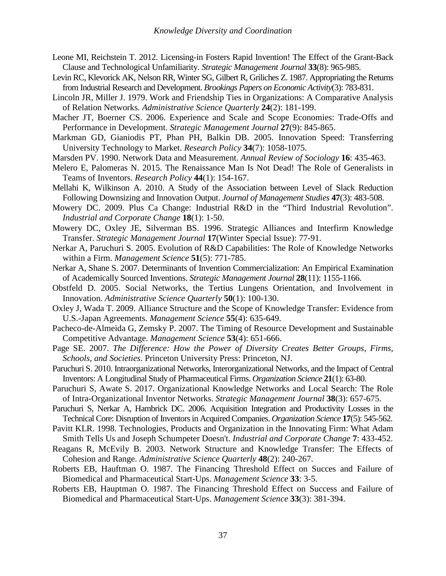- <span id="page-37-1"></span>Leone MI, Reichstein T. 2012. Licensing-in Fosters Rapid Invention! The Effect of the Grant-Back Clause and Technological Unfamiliarity. *Strategic Management Journal* **33**(8): 965-985.
- <span id="page-37-12"></span>Levin RC, Klevorick AK, Nelson RR, Winter SG, Gilbert R, Griliches Z. 1987. Appropriating the Returns from Industrial Research and Development. *Brookings Papers on Economic Activity*(3): 783-831.
- <span id="page-37-6"></span>Lincoln JR, Miller J. 1979. Work and Friendship Ties in Organizations: A Comparative Analysis of Relation Networks. *Administrative Science Quarterly* **24**(2): 181-199.
- <span id="page-37-5"></span>Macher JT, Boerner CS. 2006. Experience and Scale and Scope Economies: Trade-Offs and Performance in Development. *Strategic Management Journal* **27**(9): 845-865.
- <span id="page-37-13"></span>Markman GD, Gianiodis PT, Phan PH, Balkin DB. 2005. Innovation Speed: Transferring University Technology to Market. *Research Policy* **34**(7): 1058-1075.
- <span id="page-37-16"></span>Marsden PV. 1990. Network Data and Measurement. *Annual Review of Sociology* **16**: 435-463.
- <span id="page-37-21"></span>Melero E, Palomeras N. 2015. The Renaissance Man Is Not Dead! The Role of Generalists in Teams of Inventors. *Research Policy* **44**(1): 154-167.
- <span id="page-37-17"></span>Mellahi K, Wilkinson A. 2010. A Study of the Association between Level of Slack Reduction Following Downsizing and Innovation Output. *Journal of Management Studies* **47**(3): 483-508.
- <span id="page-37-19"></span>Mowery DC. 2009. Plus Ca Change: Industrial R&D in the "Third Industrial Revolution". *Industrial and Corporate Change* **18**(1): 1-50.
- <span id="page-37-8"></span>Mowery DC, Oxley JE, Silverman BS. 1996. Strategic Alliances and Interfirm Knowledge Transfer. *Strategic Management Journal* **17**(Winter Special Issue): 77-91.
- <span id="page-37-7"></span>Nerkar A, Paruchuri S. 2005. Evolution of R&D Capabilities: The Role of Knowledge Networks within a Firm. *Management Science* **51**(5): 771-785.
- <span id="page-37-18"></span>Nerkar A, Shane S. 2007. Determinants of Invention Commercialization: An Empirical Examination of Academically Sourced Inventions. *Strategic Management Journal* **28**(11): 1155-1166.
- <span id="page-37-15"></span>Obstfeld D. 2005. Social Networks, the Tertius Lungens Orientation, and Involvement in Innovation. *Administrative Science Quarterly* **50**(1): 100-130.
- <span id="page-37-0"></span>Oxley J, Wada T. 2009. Alliance Structure and the Scope of Knowledge Transfer: Evidence from U.S.-Japan Agreements. *Management Science* **55**(4): 635-649.
- <span id="page-37-20"></span>Pacheco-de-Almeida G, Zemsky P. 2007. The Timing of Resource Development and Sustainable Competitive Advantage. *Management Science* **53**(4): 651-666.
- <span id="page-37-10"></span>Page SE. 2007. *The Difference: How the Power of Diversity Creates Better Groups, Firms, Schools, and Societies*. Princeton University Press: Princeton, NJ.
- <span id="page-37-3"></span>Paruchuri S. 2010. Intraorganizational Networks, Interorganizational Networks, and the Impact of Central Inventors: A Longitudinal Study of Pharmaceutical Firms. *Organization Science* **21**(1): 63-80.
- <span id="page-37-2"></span>Paruchuri S, Awate S. 2017. Organizational Knowledge Networks and Local Search: The Role of Intra-Organizational Inventor Networks. *Strategic Management Journal* **38**(3): 657-675.
- Paruchuri S, Nerkar A, Hambrick DC. 2006. Acquisition Integration and Productivity Losses in the Technical Core: Disruption of Inventors in Acquired Companies. *Organization Science* **17**(5): 545-562.
- <span id="page-37-11"></span>Pavitt KLR. 1998. Technologies, Products and Organization in the Innovating Firm: What Adam Smith Tells Us and Joseph Schumpeter Doesn't. *Industrial and Corporate Change* **7**: 433-452.
- <span id="page-37-9"></span>Reagans R, McEvily B. 2003. Network Structure and Knowledge Transfer: The Effects of Cohesion and Range. *Administrative Science Quarterly* **48**(2): 240-267.
- <span id="page-37-14"></span>Roberts EB, Hauftman O. 1987. The Financing Threshold Effect on Succes and Failure of Biomedical and Pharmaceutical Start-Ups. *Management Science* **33**: 3-5.
- <span id="page-37-4"></span>Roberts EB, Hauptman O. 1987. The Financing Threshold Effect on Success and Failure of Biomedical and Pharmaceutical Start-Ups. *Management Science* **33**(3): 381-394.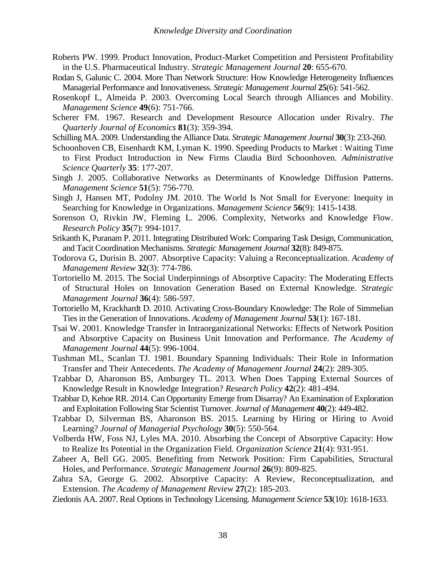- <span id="page-38-12"></span>Roberts PW. 1999. Product Innovation, Product-Market Competition and Persistent Profitability in the U.S. Pharmaceutical Industry. *Strategic Management Journal* **20**: 655-670.
- <span id="page-38-7"></span>Rodan S, Galunic C. 2004. More Than Network Structure: How Knowledge Heterogeneity Influences Managerial Performance and Innovativeness. *Strategic Management Journal* **25**(6): 541-562.
- <span id="page-38-6"></span>Rosenkopf L, Almeida P. 2003. Overcoming Local Search through Alliances and Mobility. *Management Science* **49**(6): 751-766.
- <span id="page-38-19"></span>Scherer FM. 1967. Research and Development Resource Allocation under Rivalry. *The Quarterly Journal of Economics* **81**(3): 359-394.
- <span id="page-38-16"></span>Schilling MA. 2009. Understanding the Alliance Data. *Strategic Management Journal* **30**(3): 233-260.
- <span id="page-38-15"></span>Schoonhoven CB, Eisenhardt KM, Lyman K. 1990. Speeding Products to Market : Waiting Time to First Product Introduction in New Firms Claudia Bird Schoonhoven. *Administrative Science Quarterly* **35**: 177-207.
- <span id="page-38-5"></span>Singh J. 2005. Collaborative Networks as Determinants of Knowledge Diffusion Patterns. *Management Science* **51**(5): 756-770.
- <span id="page-38-11"></span>Singh J, Hansen MT, Podolny JM. 2010. The World Is Not Small for Everyone: Inequity in Searching for Knowledge in Organizations. *Management Science* **56**(9): 1415-1438.
- <span id="page-38-9"></span>Sorenson O, Rivkin JW, Fleming L. 2006. Complexity, Networks and Knowledge Flow. *Research Policy* **35**(7): 994-1017.
- <span id="page-38-8"></span>Srikanth K, Puranam P. 2011. Integrating Distributed Work: Comparing Task Design, Communication, and Tacit Coordination Mechanisms. *Strategic Management Journal* **32**(8): 849-875.
- <span id="page-38-3"></span>Todorova G, Durisin B. 2007. Absorptive Capacity: Valuing a Reconceptualization. *Academy of Management Review* **32**(3): 774-786.
- <span id="page-38-1"></span>Tortoriello M. 2015. The Social Underpinnings of Absorptive Capacity: The Moderating Effects of Structural Holes on Innovation Generation Based on External Knowledge. *Strategic Management Journal* **36**(4): 586-597.
- <span id="page-38-21"></span>Tortoriello M, Krackhardt D. 2010. Activating Cross-Boundary Knowledge: The Role of Simmelian Ties in the Generation of Innovations. *Academy of Management Journal* **53**(1): 167-181.
- <span id="page-38-13"></span>Tsai W. 2001. Knowledge Transfer in Intraorganizational Networks: Effects of Network Position and Absorptive Capacity on Business Unit Innovation and Performance. *The Academy of Management Journal* **44**(5): 996-1004.
- <span id="page-38-20"></span>Tushman ML, Scanlan TJ. 1981. Boundary Spanning Individuals: Their Role in Information Transfer and Their Antecedents. *The Academy of Management Journal* **24**(2): 289-305.
- <span id="page-38-2"></span>Tzabbar D, Aharonson BS, Amburgey TL. 2013. When Does Tapping External Sources of Knowledge Result in Knowledge Integration? *Research Policy* **42**(2): 481-494.
- <span id="page-38-18"></span>Tzabbar D, Kehoe RR. 2014. Can Opportunity Emerge from Disarray? An Examination of Exploration and Exploitation Following Star Scientist Turnover. *Journal of Management* **40**(2): 449-482.
- <span id="page-38-14"></span>Tzabbar D, Silverman BS, Aharonson BS. 2015. Learning by Hiring or Hiring to Avoid Learning? *Journal of Managerial Psychology* **30**(5): 550-564.
- <span id="page-38-0"></span>Volberda HW, Foss NJ, Lyles MA. 2010. Absorbing the Concept of Absorptive Capacity: How to Realize Its Potential in the Organization Field. *Organization Science* **21**(4): 931-951.
- <span id="page-38-10"></span>Zaheer A, Bell GG. 2005. Benefiting from Network Position: Firm Capabilities, Structural Holes, and Performance. *Strategic Management Journal* **26**(9): 809-825.
- <span id="page-38-4"></span>Zahra SA, George G. 2002. Absorptive Capacity: A Review, Reconceptualization, and Extension. *The Academy of Management Review* **27**(2): 185-203.
- <span id="page-38-17"></span>Ziedonis AA. 2007. Real Options in Technology Licensing. *Management Science* **53**(10): 1618-1633.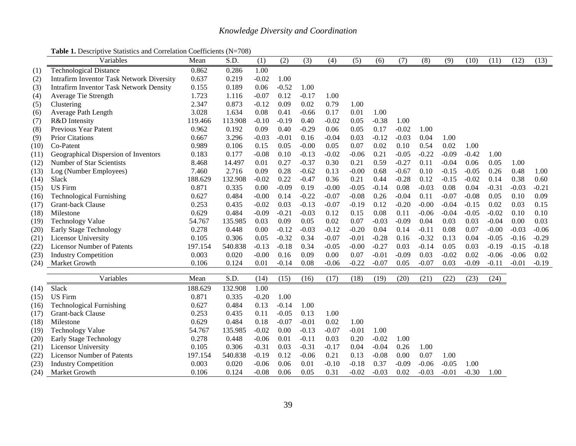**Table 1.** Descriptive Statistics and Correlation Coefficients (N=708)

|      | Variables                                        | Mean    | S.D.    | (1)     | (2)     | (3)     | (4)     | (5)     | (6)     | (7)     | (8)     | (9)     | (10)    | (11)    | (12)    | (13)    |
|------|--------------------------------------------------|---------|---------|---------|---------|---------|---------|---------|---------|---------|---------|---------|---------|---------|---------|---------|
| (1)  | <b>Technological Distance</b>                    | 0.862   | 0.286   | 1.00    |         |         |         |         |         |         |         |         |         |         |         |         |
| (2)  | <b>Intrafirm Inventor Task Network Diversity</b> | 0.637   | 0.219   | $-0.02$ | 1.00    |         |         |         |         |         |         |         |         |         |         |         |
| (3)  | <b>Intrafirm Inventor Task Network Density</b>   | 0.155   | 0.189   | 0.06    | $-0.52$ | 1.00    |         |         |         |         |         |         |         |         |         |         |
| (4)  | Average Tie Strength                             | 1.723   | 1.116   | $-0.07$ | 0.12    | $-0.17$ | 1.00    |         |         |         |         |         |         |         |         |         |
| (5)  | Clustering                                       | 2.347   | 0.873   | $-0.12$ | 0.09    | 0.02    | 0.79    | 1.00    |         |         |         |         |         |         |         |         |
| (6)  | Average Path Length                              | 3.028   | 1.634   | 0.08    | 0.41    | $-0.66$ | 0.17    | 0.01    | 1.00    |         |         |         |         |         |         |         |
| (7)  | R&D Intensity                                    | 119.466 | 113.908 | $-0.10$ | $-0.19$ | 0.40    | $-0.02$ | 0.05    | $-0.38$ | 1.00    |         |         |         |         |         |         |
| (8)  | Previous Year Patent                             | 0.962   | 0.192   | 0.09    | 0.40    | $-0.29$ | 0.06    | 0.05    | 0.17    | $-0.02$ | 1.00    |         |         |         |         |         |
| (9)  | <b>Prior Citations</b>                           | 0.667   | 3.296   | $-0.03$ | $-0.01$ | 0.16    | $-0.04$ | 0.03    | $-0.12$ | $-0.03$ | 0.04    | 1.00    |         |         |         |         |
| (10) | Co-Patent                                        | 0.989   | 0.106   | 0.15    | 0.05    | $-0.00$ | 0.05    | 0.07    | 0.02    | 0.10    | 0.54    | 0.02    | 1.00    |         |         |         |
| (11) | Geographical Dispersion of Inventors             | 0.183   | 0.177   | $-0.08$ | 0.10    | $-0.13$ | $-0.02$ | $-0.06$ | 0.21    | $-0.05$ | $-0.22$ | $-0.09$ | $-0.42$ | 1.00    |         |         |
| (12) | Number of Star Scientists                        | 8.468   | 14.497  | 0.01    | 0.27    | $-0.37$ | 0.30    | 0.21    | 0.59    | $-0.27$ | 0.11    | $-0.04$ | 0.06    | 0.05    | 1.00    |         |
| (13) | Log (Number Employees)                           | 7.460   | 2.716   | 0.09    | 0.28    | $-0.62$ | 0.13    | $-0.00$ | 0.68    | $-0.67$ | 0.10    | $-0.15$ | $-0.05$ | 0.26    | 0.48    | 1.00    |
| (14) | Slack                                            | 188.629 | 132.908 | $-0.02$ | 0.22    | $-0.47$ | 0.36    | 0.21    | 0.44    | $-0.28$ | 0.12    | $-0.15$ | $-0.02$ | 0.14    | 0.38    | 0.60    |
| (15) | <b>US</b> Firm                                   | 0.871   | 0.335   | 0.00    | $-0.09$ | 0.19    | $-0.00$ | $-0.05$ | $-0.14$ | 0.08    | $-0.03$ | 0.08    | 0.04    | $-0.31$ | $-0.03$ | $-0.21$ |
| (16) | <b>Technological Furnishing</b>                  | 0.627   | 0.484   | $-0.00$ | 0.14    | $-0.22$ | $-0.07$ | $-0.08$ | 0.26    | $-0.04$ | 0.11    | $-0.07$ | $-0.08$ | 0.05    | 0.10    | 0.09    |
| (17) | Grant-back Clause                                | 0.253   | 0.435   | $-0.02$ | 0.03    | $-0.13$ | $-0.07$ | $-0.19$ | 0.12    | $-0.20$ | $-0.00$ | $-0.04$ | $-0.15$ | 0.02    | 0.03    | 0.15    |
| (18) | Milestone                                        | 0.629   | 0.484   | $-0.09$ | $-0.21$ | $-0.03$ | 0.12    | 0.15    | 0.08    | 0.11    | $-0.06$ | $-0.04$ | $-0.05$ | $-0.02$ | 0.10    | 0.10    |
| (19) | <b>Technology Value</b>                          | 54.767  | 135.985 | 0.03    | 0.09    | 0.05    | 0.02    | 0.07    | $-0.03$ | $-0.09$ | 0.04    | 0.03    | 0.03    | $-0.04$ | 0.00    | 0.03    |
| (20) | Early Stage Technology                           | 0.278   | 0.448   | 0.00    | $-0.12$ | $-0.03$ | $-0.12$ | $-0.20$ | 0.04    | 0.14    | $-0.11$ | 0.08    | 0.07    | $-0.00$ | $-0.03$ | $-0.06$ |
| (21) | Licensor University                              | 0.105   | 0.306   | 0.05    | $-0.32$ | 0.34    | $-0.07$ | $-0.01$ | $-0.28$ | 0.16    | $-0.32$ | 0.13    | 0.04    | $-0.05$ | $-0.16$ | $-0.29$ |
| (22) | Licensor Number of Patents                       | 197.154 | 540.838 | $-0.13$ | $-0.18$ | 0.34    | $-0.05$ | $-0.00$ | $-0.27$ | 0.03    | $-0.14$ | 0.05    | 0.03    | $-0.19$ | $-0.15$ | $-0.18$ |
| (23) | <b>Industry Competition</b>                      | 0.003   | 0.020   | $-0.00$ | 0.16    | 0.09    | 0.00    | 0.07    | $-0.01$ | $-0.09$ | 0.03    | $-0.02$ | 0.02    | $-0.06$ | $-0.06$ | 0.02    |
| (24) | Market Growth                                    | 0.106   | 0.124   | 0.01    | $-0.14$ | 0.08    | $-0.06$ | $-0.22$ | $-0.07$ | 0.05    | $-0.07$ | 0.03    | $-0.09$ | $-0.11$ | $-0.01$ | $-0.19$ |
|      | Variables                                        | Mean    | S.D.    | (14)    | (15)    | (16)    | (17)    | (18)    | (19)    | (20)    | (21)    | (22)    | (23)    | (24)    |         |         |
| (14) | Slack                                            | 188.629 | 132.908 | 1.00    |         |         |         |         |         |         |         |         |         |         |         |         |
| (15) | <b>US</b> Firm                                   | 0.871   | 0.335   | $-0.20$ | 1.00    |         |         |         |         |         |         |         |         |         |         |         |
| (16) | <b>Technological Furnishing</b>                  | 0.627   | 0.484   | 0.13    | $-0.14$ | 1.00    |         |         |         |         |         |         |         |         |         |         |
| (17) | Grant-back Clause                                | 0.253   | 0.435   | 0.11    | $-0.05$ | 0.13    | 1.00    |         |         |         |         |         |         |         |         |         |
| (18) | Milestone                                        | 0.629   | 0.484   | 0.18    | $-0.07$ | $-0.01$ | 0.02    | 1.00    |         |         |         |         |         |         |         |         |
| (19) | <b>Technology Value</b>                          | 54.767  | 135.985 | $-0.02$ | 0.00    | $-0.13$ | $-0.07$ | $-0.01$ | 1.00    |         |         |         |         |         |         |         |
| (20) | <b>Early Stage Technology</b>                    | 0.278   | 0.448   | $-0.06$ | 0.01    | $-0.11$ | 0.03    | 0.20    | $-0.02$ | 1.00    |         |         |         |         |         |         |
| (21) | Licensor University                              | 0.105   | 0.306   | $-0.31$ | 0.03    | $-0.31$ | $-0.17$ | 0.04    | $-0.04$ | 0.26    | 1.00    |         |         |         |         |         |
| (22) | <b>Licensor Number of Patents</b>                | 197.154 | 540.838 | $-0.19$ | 0.12    | $-0.06$ | 0.21    | 0.13    | $-0.08$ | 0.00    | 0.07    | 1.00    |         |         |         |         |
| (23) | <b>Industry Competition</b>                      | 0.003   | 0.020   | $-0.06$ | 0.06    | 0.01    | $-0.10$ | $-0.18$ | 0.37    | $-0.09$ | $-0.06$ | $-0.05$ | 1.00    |         |         |         |
| (24) | Market Growth                                    | 0.106   | 0.124   | $-0.08$ | 0.06    | 0.05    | 0.31    | $-0.02$ | $-0.03$ | 0.02    | $-0.03$ | $-0.01$ | $-0.30$ | 1.00    |         |         |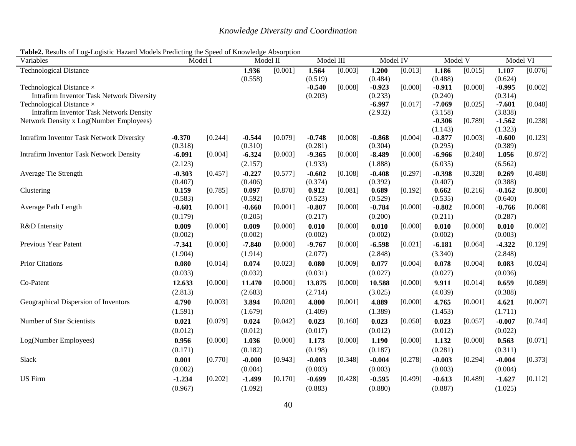**Table2.** Results of Log-Logistic Hazard Models Predicting the Speed of Knowledge Absorption

| <b>Thore's</b> recounts of Eug Eugene Human a modern Freueing the opera of this wreage Freuer phon<br>Variables |                     | Model I |                     | Model II | Model III           |         | Model IV            |         | Model V             |         | Model VI            |         |
|-----------------------------------------------------------------------------------------------------------------|---------------------|---------|---------------------|----------|---------------------|---------|---------------------|---------|---------------------|---------|---------------------|---------|
| <b>Technological Distance</b>                                                                                   |                     |         | 1.936               | [0.001]  | 1.564               | [0.003] | 1.200               | [0.013] | 1.186               | [0.015] | 1.107               | [0.076] |
|                                                                                                                 |                     |         | (0.558)             |          | (0.519)             |         | (0.484)             |         | (0.488)             |         | (0.624)             |         |
| Technological Distance ×                                                                                        |                     |         |                     |          | $-0.540$            | [0.008] | $-0.923$            | [0.000] | $-0.911$            | [0.000] | $-0.995$            | [0.002] |
| Intrafirm Inventor Task Network Diversity                                                                       |                     |         |                     |          | (0.203)             |         | (0.233)             |         | (0.240)             |         | (0.314)             |         |
| Technological Distance ×<br>Intrafirm Inventor Task Network Density                                             |                     |         |                     |          |                     |         | $-6.997$<br>(2.932) | [0.017] | $-7.069$<br>(3.158) | [0.025] | $-7.601$<br>(3.838) | [0.048] |
| Network Density x Log(Number Employees)                                                                         |                     |         |                     |          |                     |         |                     |         | $-0.306$            | [0.789] | $-1.562$            | [0.238] |
|                                                                                                                 |                     |         |                     |          |                     |         |                     |         | (1.143)             |         | (1.323)             |         |
| Intrafirm Inventor Task Network Diversity                                                                       | $-0.370$            | [0.244] | $-0.544$            | [0.079]  | $-0.748$            | [0.008] | $-0.868$            | [0.004] | $-0.877$            | [0.003] | $-0.600$            | [0.123] |
|                                                                                                                 | (0.318)             |         | (0.310)             |          | (0.281)             |         | (0.304)             |         | (0.295)             |         | (0.389)             |         |
| <b>Intrafirm Inventor Task Network Density</b>                                                                  | $-6.091$            | [0.004] | $-6.324$            | [0.003]  | $-9.365$            | [0.000] | $-8.489$            | [0.000] | $-6.966$            | [0.248] | 1.056               | [0.872] |
|                                                                                                                 | (2.123)             |         | (2.157)             |          | (1.933)             |         | (1.888)             |         | (6.035)             |         | (6.562)             |         |
| Average Tie Strength                                                                                            | $-0.303$            | [0.457] | $-0.227$            | [0.577]  | $-0.602$            | [0.108] | $-0.408$            | [0.297] | $-0.398$            | [0.328] | 0.269               | [0.488] |
|                                                                                                                 | (0.407)             |         | (0.406)             |          | (0.374)             |         | (0.392)             |         | (0.407)             |         | (0.388)             |         |
| Clustering                                                                                                      | 0.159               | [0.785] | 0.097               | [0.870]  | 0.912               | [0.081] | 0.689               | [0.192] | 0.662               | [0.216] | $-0.162$            | [0.800] |
| Average Path Length                                                                                             | (0.583)<br>$-0.601$ | [0.001] | (0.592)<br>$-0.660$ | [0.001]  | (0.523)<br>$-0.807$ | [0.000] | (0.529)<br>$-0.784$ | [0.000] | (0.535)<br>$-0.802$ | [0.000] | (0.640)<br>$-0.766$ | [0.008] |
|                                                                                                                 | (0.179)             |         | (0.205)             |          | (0.217)             |         | (0.200)             |         | (0.211)             |         | (0.287)             |         |
| R&D Intensity                                                                                                   | 0.009               | [0.000] | 0.009               | [0.000]  | 0.010               | [0.000] | 0.010               | [0.000] | 0.010               | [0.000] | 0.010               | [0.002] |
|                                                                                                                 | (0.002)             |         | (0.002)             |          | (0.002)             |         | (0.002)             |         | (0.002)             |         | (0.003)             |         |
| Previous Year Patent                                                                                            | $-7.341$            | [0.000] | $-7.840$            | [0.000]  | $-9.767$            | [0.000] | $-6.598$            | [0.021] | $-6.181$            | [0.064] | $-4.322$            | [0.129] |
|                                                                                                                 | (1.904)             |         | (1.914)             |          | (2.077)             |         | (2.848)             |         | (3.340)             |         | (2.848)             |         |
| <b>Prior Citations</b>                                                                                          | 0.080               | [0.014] | 0.074               | [0.023]  | 0.080               | [0.009] | 0.077               | [0.004] | 0.078               | [0.004] | 0.083               | [0.024] |
|                                                                                                                 | (0.033)             |         | (0.032)             |          | (0.031)             |         | (0.027)             |         | (0.027)             |         | (0.036)             |         |
| Co-Patent                                                                                                       | 12.633              | [0.000] | 11.470              | [0.000]  | 13.875              | [0.000] | 10.588              | [0.000] | 9.911               | [0.014] | 0.659               | [0.089] |
|                                                                                                                 | (2.813)             |         | (2.683)             |          | (2.714)             |         | (3.025)             |         | (4.039)             |         | (0.388)             |         |
| Geographical Dispersion of Inventors                                                                            | 4.790               | [0.003] | 3.894               | [0.020]  | 4.800               | [0.001] | 4.889               | [0.000] | 4.765               | [0.001] | 4.621               | [0.007] |
|                                                                                                                 | (1.591)             |         | (1.679)             |          | (1.409)             |         | (1.389)             |         | (1.453)             |         | (1.711)             |         |
| Number of Star Scientists                                                                                       | 0.021               | [0.079] | 0.024               | [0.042]  | 0.023               | [0.160] | 0.023               | [0.050] | 0.023               | [0.057] | $-0.007$            | [0.744] |
|                                                                                                                 | (0.012)             |         | (0.012)             |          | (0.017)             |         | (0.012)             |         | (0.012)             |         | (0.022)             |         |
| Log(Number Employees)                                                                                           | 0.956               | [0.000] | 1.036               | [0.000]  | 1.173               | [0.000] | 1.190               | [0.000] | 1.132               | [0.000] | 0.563               | [0.071] |
|                                                                                                                 | (0.171)             |         | (0.182)             |          | (0.198)             |         | (0.187)             |         | (0.281)             |         | (0.311)             |         |
|                                                                                                                 | 0.001               |         |                     |          |                     |         |                     |         |                     |         |                     |         |
| Slack                                                                                                           |                     | [0.770] | $-0.000$            | [0.943]  | $-0.003$            | [0.348] | $-0.004$            | [0.278] | $-0.003$            | [0.294] | $-0.004$            | [0.373] |
|                                                                                                                 | (0.002)             |         | (0.004)             |          | (0.003)             |         | (0.003)             |         | (0.003)             |         | (0.004)             |         |
| <b>US</b> Firm                                                                                                  | $-1.234$            | [0.202] | $-1.499$            | [0.170]  | $-0.699$            | [0.428] | $-0.595$            | [0.499] | $-0.613$            | [0.489] | $-1.627$            | [0.112] |
|                                                                                                                 | (0.967)             |         | (1.092)             |          | (0.883)             |         | (0.880)             |         | (0.887)             |         | (1.025)             |         |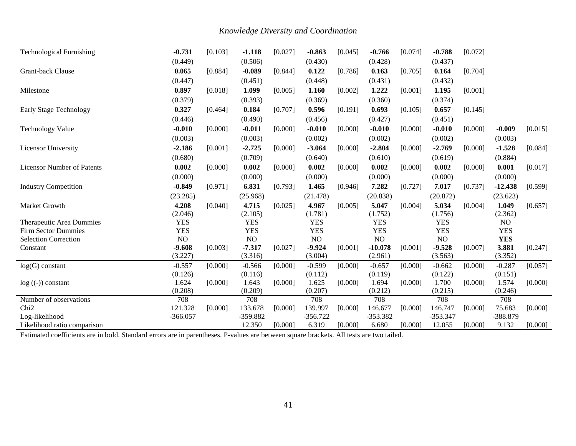| <b>Technological Furnishing</b>   | $-0.731$   | [0.103] | $-1.118$   | [0.027] | $-0.863$   | [0.045] | $-0.766$   | [0.074] | $-0.788$   | [0.072] |            |         |
|-----------------------------------|------------|---------|------------|---------|------------|---------|------------|---------|------------|---------|------------|---------|
|                                   | (0.449)    |         | (0.506)    |         | (0.430)    |         | (0.428)    |         | (0.437)    |         |            |         |
| Grant-back Clause                 | 0.065      | [0.884] | $-0.089$   | [0.844] | 0.122      | [0.786] | 0.163      | [0.705] | 0.164      | [0.704] |            |         |
|                                   | (0.447)    |         | (0.451)    |         | (0.448)    |         | (0.431)    |         | (0.432)    |         |            |         |
| Milestone                         | 0.897      | [0.018] | 1.099      | [0.005] | 1.160      | [0.002] | 1.222      | [0.001] | 1.195      | [0.001] |            |         |
|                                   | (0.379)    |         | (0.393)    |         | (0.369)    |         | (0.360)    |         | (0.374)    |         |            |         |
| Early Stage Technology            | 0.327      | [0.464] | 0.184      | [0.707] | 0.596      | [0.191] | 0.693      | [0.105] | 0.657      | [0.145] |            |         |
|                                   | (0.446)    |         | (0.490)    |         | (0.456)    |         | (0.427)    |         | (0.451)    |         |            |         |
| <b>Technology Value</b>           | $-0.010$   | [0.000] | $-0.011$   | [0.000] | $-0.010$   | [0.000] | $-0.010$   | [0.000] | $-0.010$   | [0.000] | $-0.009$   | [0.015] |
|                                   | (0.003)    |         | (0.003)    |         | (0.002)    |         | (0.002)    |         | (0.002)    |         | (0.003)    |         |
| <b>Licensor University</b>        | $-2.186$   | [0.001] | $-2.725$   | [0.000] | $-3.064$   | [0.000] | $-2.804$   | [0.000] | $-2.769$   | [0.000] | $-1.528$   | [0.084] |
|                                   | (0.680)    |         | (0.709)    |         | (0.640)    |         | (0.610)    |         | (0.619)    |         | (0.884)    |         |
| <b>Licensor Number of Patents</b> | 0.002      | [0.000] | 0.002      | [0.000] | 0.002      | [0.000] | 0.002      | [0.000] | 0.002      | [0.000] | 0.001      | [0.017] |
|                                   | (0.000)    |         | (0.000)    |         | (0.000)    |         | (0.000)    |         | (0.000)    |         | (0.000)    |         |
| <b>Industry Competition</b>       | $-0.849$   | [0.971] | 6.831      | [0.793] | 1.465      | [0.946] | 7.282      | [0.727] | 7.017      | [0.737] | $-12.438$  | [0.599] |
|                                   | (23.285)   |         | (25.968)   |         | (21.478)   |         | (20.838)   |         | (20.872)   |         | (23.623)   |         |
| Market Growth                     | 4.208      | [0.040] | 4.715      | [0.025] | 4.967      | [0.005] | 5.047      | [0.004] | 5.034      | [0.004] | 1.049      | [0.657] |
|                                   | (2.046)    |         | (2.105)    |         | (1.781)    |         | (1.752)    |         | (1.756)    |         | (2.362)    |         |
| Therapeutic Area Dummies          | <b>YES</b> |         | <b>YES</b> |         | <b>YES</b> |         | <b>YES</b> |         | <b>YES</b> |         | NO.        |         |
| <b>Firm Sector Dummies</b>        | <b>YES</b> |         | <b>YES</b> |         | <b>YES</b> |         | <b>YES</b> |         | <b>YES</b> |         | <b>YES</b> |         |
| <b>Selection Correction</b>       | NO         |         | NO         |         | NO         |         | NO         |         | NO         |         | <b>YES</b> |         |
| Constant                          | $-9.608$   | [0.003] | $-7.317$   | [0.027] | $-9.924$   | [0.001] | $-10.078$  | [0.001] | $-9.528$   | [0.007] | 3.881      | [0.247] |
|                                   | (3.227)    |         | (3.316)    |         | (3.004)    |         | (2.961)    |         | (3.563)    |         | (3.352)    |         |
| $log(G)$ constant                 | $-0.557$   | [0.000] | $-0.566$   | [0.000] | $-0.599$   | [0.000] | $-0.657$   | [0.000] | $-0.662$   | [0.000] | $-0.287$   | [0.057] |
|                                   | (0.126)    |         | (0.116)    |         | (0.112)    |         | (0.119)    |         | (0.122)    |         | (0.151)    |         |
| $log ((-) )$ constant             | 1.624      | [0.000] | 1.643      | [0.000] | 1.625      | [0.000] | 1.694      | [0.000] | 1.700      | [0.000] | 1.574      | [0.000] |
|                                   | (0.208)    |         | (0.209)    |         | (0.207)    |         | (0.212)    |         | (0.215)    |         | (0.246)    |         |
| Number of observations            | 708        |         | 708        |         | 708        |         | 708        |         | 708        |         | 708        |         |
| Chi <sub>2</sub>                  | 121.328    | [0.000] | 133.678    | [0.000] | 139.997    | [0.000] | 146.677    | [0.000] | 146.747    | [0.000] | 75.683     | [0.000] |
| Log-likelihood                    | $-366.057$ |         | $-359.882$ |         | $-356.722$ |         | $-353.382$ |         | $-353.347$ |         | -388.879   |         |
| Likelihood ratio comparison       |            |         | 12.350     | [0.000] | 6.319      | [0.000] | 6.680      | [0.000] | 12.055     | [0.000] | 9.132      | [0.000] |

Estimated coefficients are in bold. Standard errors are in parentheses. P-values are between square brackets. All tests are two tailed.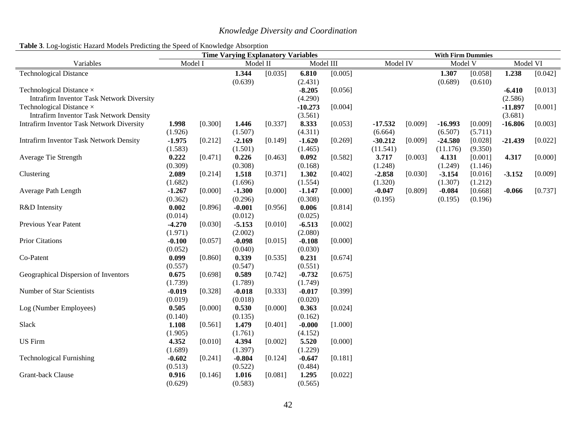# **Table 3**. Log-logistic Hazard Models Predicting the Speed of Knowledge Absorption

|                                                |                  |         |                  | <b>Time Varying Explanatory Variables</b> |                  |         |                      | <b>With Firm Dummies</b> |                      |                    |           |         |
|------------------------------------------------|------------------|---------|------------------|-------------------------------------------|------------------|---------|----------------------|--------------------------|----------------------|--------------------|-----------|---------|
| Variables                                      | Model I          |         | Model II         |                                           | Model III        |         | Model IV             |                          | Model V              |                    | Model VI  |         |
| <b>Technological Distance</b>                  |                  |         | 1.344            | [0.035]                                   | 6.810            | [0.005] |                      |                          | 1.307                | [0.058]            | 1.238     | [0.042] |
|                                                |                  |         | (0.639)          |                                           | (2.431)          |         |                      |                          | (0.689)              | (0.610)            |           |         |
| Technological Distance $\times$                |                  |         |                  |                                           | $-8.205$         | [0.056] |                      |                          |                      |                    | $-6.410$  | [0.013] |
| Intrafirm Inventor Task Network Diversity      |                  |         |                  |                                           | (4.290)          |         |                      |                          |                      |                    | (2.586)   |         |
| Technological Distance ×                       |                  |         |                  |                                           | $-10.273$        | [0.004] |                      |                          |                      |                    | $-11.897$ | [0.001] |
| Intrafirm Inventor Task Network Density        |                  |         |                  |                                           | (3.561)          |         |                      |                          |                      |                    | (3.681)   |         |
| Intrafirm Inventor Task Network Diversity      | 1.998<br>(1.926) | [0.300] | 1.446<br>(1.507) | [0.337]                                   | 8.333<br>(4.311) | [0.053] | $-17.532$<br>(6.664) | [0.009]                  | $-16.993$<br>(6.507) | [0.009]<br>(5.711) | $-16.806$ | [0.003] |
| <b>Intrafirm Inventor Task Network Density</b> | $-1.975$         | [0.212] | $-2.169$         | [0.149]                                   | $-1.620$         | [0.269] | $-30.212$            | [0.009]                  | $-24.580$            | [0.028]            | $-21.439$ | [0.022] |
|                                                | (1.583)          |         | (1.501)          |                                           | (1.465)          |         | (11.541)             |                          | (11.176)             | (9.350)            |           |         |
| Average Tie Strength                           | 0.222            | [0.471] | 0.226            | [0.463]                                   | 0.092            | [0.582] | 3.717                | [0.003]                  | 4.131                | [0.001]            | 4.317     | [0.000] |
|                                                | (0.309)          |         | (0.308)          |                                           | (0.168)          |         | (1.248)              |                          | (1.249)              | (1.146)            |           |         |
| Clustering                                     | 2.089            | [0.214] | 1.518            | [0.371]                                   | 1.302            | [0.402] | $-2.858$             | [0.030]                  | $-3.154$             | [0.016]            | $-3.152$  | [0.009] |
|                                                | (1.682)          |         | (1.696)          |                                           | (1.554)          |         | (1.320)              |                          | (1.307)              | (1.212)            |           |         |
| Average Path Length                            | $-1.267$         | [0.000] | $-1.300$         | [0.000]                                   | $-1.147$         | [0.000] | $-0.047$             | [0.809]                  | $-0.084$             | [0.668]            | $-0.066$  | [0.737] |
|                                                | (0.362)          |         | (0.296)          |                                           | (0.308)          |         | (0.195)              |                          | (0.195)              | (0.196)            |           |         |
| R&D Intensity                                  | 0.002            | [0.896] | $-0.001$         | [0.956]                                   | 0.006            | [0.814] |                      |                          |                      |                    |           |         |
|                                                | (0.014)          |         | (0.012)          |                                           | (0.025)          |         |                      |                          |                      |                    |           |         |
| Previous Year Patent                           | $-4.270$         | [0.030] | $-5.153$         | [0.010]                                   | $-6.513$         | [0.002] |                      |                          |                      |                    |           |         |
|                                                | (1.971)          |         | (2.002)          |                                           | (2.080)          |         |                      |                          |                      |                    |           |         |
| <b>Prior Citations</b>                         | $-0.100$         | [0.057] | $-0.098$         | [0.015]                                   | $-0.108$         | [0.000] |                      |                          |                      |                    |           |         |
| Co-Patent                                      | (0.052)<br>0.099 | [0.860] | (0.040)<br>0.339 | [0.535]                                   | (0.030)<br>0.231 | [0.674] |                      |                          |                      |                    |           |         |
|                                                | (0.557)          |         | (0.547)          |                                           | (0.551)          |         |                      |                          |                      |                    |           |         |
| Geographical Dispersion of Inventors           | 0.675            | [0.698] | 0.589            | [0.742]                                   | $-0.732$         | [0.675] |                      |                          |                      |                    |           |         |
|                                                | (1.739)          |         | (1.789)          |                                           | (1.749)          |         |                      |                          |                      |                    |           |         |
| Number of Star Scientists                      | $-0.019$         | [0.328] | $-0.018$         | [0.333]                                   | $-0.017$         | [0.399] |                      |                          |                      |                    |           |         |
|                                                | (0.019)          |         | (0.018)          |                                           | (0.020)          |         |                      |                          |                      |                    |           |         |
| Log (Number Employees)                         | 0.505            | [0.000] | 0.530            | [0.000]                                   | 0.363            | [0.024] |                      |                          |                      |                    |           |         |
|                                                | (0.140)          |         | (0.135)          |                                           | (0.162)          |         |                      |                          |                      |                    |           |         |
| Slack                                          | 1.108            | [0.561] | 1.479            | [0.401]                                   | $-0.000$         | [1.000] |                      |                          |                      |                    |           |         |
|                                                | (1.905)          |         | (1.761)          |                                           | (4.152)          |         |                      |                          |                      |                    |           |         |
| <b>US</b> Firm                                 | 4.352            | [0.010] | 4.394            | [0.002]                                   | 5.520            | [0.000] |                      |                          |                      |                    |           |         |
|                                                | (1.689)          |         | (1.397)          |                                           | (1.229)          |         |                      |                          |                      |                    |           |         |
| <b>Technological Furnishing</b>                | $-0.602$         | [0.241] | $-0.804$         | [0.124]                                   | $-0.647$         | [0.181] |                      |                          |                      |                    |           |         |
|                                                | (0.513)          |         | (0.522)          |                                           | (0.484)          |         |                      |                          |                      |                    |           |         |
| Grant-back Clause                              | 0.916            | [0.146] | 1.016            | [0.081]                                   | 1.295            | [0.022] |                      |                          |                      |                    |           |         |
|                                                | (0.629)          |         | (0.583)          |                                           | (0.565)          |         |                      |                          |                      |                    |           |         |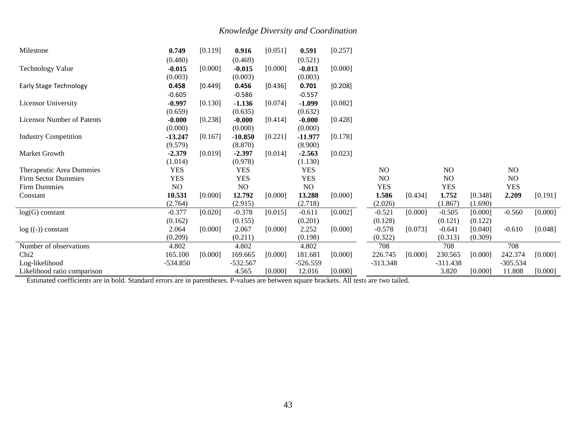| Milestone                         | 0.749      | [0.119] | 0.916      | [0.051] | 0.591      | [0.257] |                |         |                |         |                |         |
|-----------------------------------|------------|---------|------------|---------|------------|---------|----------------|---------|----------------|---------|----------------|---------|
|                                   | (0.480)    |         | (0.469)    |         | (0.521)    |         |                |         |                |         |                |         |
| <b>Technology Value</b>           | $-0.015$   | [0.000] | $-0.015$   | [0.000] | $-0.013$   | [0.000] |                |         |                |         |                |         |
|                                   | (0.003)    |         | (0.003)    |         | (0.003)    |         |                |         |                |         |                |         |
| <b>Early Stage Technology</b>     | 0.458      | [0.449] | 0.456      | [0.436] | 0.701      | [0.208] |                |         |                |         |                |         |
|                                   | $-0.605$   |         | $-0.586$   |         | $-0.557$   |         |                |         |                |         |                |         |
| Licensor University               | $-0.997$   | [0.130] | $-1.136$   | [0.074] | $-1.099$   | [0.082] |                |         |                |         |                |         |
|                                   | (0.659)    |         | (0.635)    |         | (0.632)    |         |                |         |                |         |                |         |
| <b>Licensor Number of Patents</b> | $-0.000$   | [0.238] | $-0.000$   | [0.414] | $-0.000$   | [0.428] |                |         |                |         |                |         |
|                                   | (0.000)    |         | (0.000)    |         | (0.000)    |         |                |         |                |         |                |         |
| <b>Industry Competition</b>       | $-13.247$  | [0.167] | $-10.850$  | [0.221] | $-11.977$  | [0.178] |                |         |                |         |                |         |
|                                   | (9.579)    |         | (8.870)    |         | (8.900)    |         |                |         |                |         |                |         |
| Market Growth                     | $-2.379$   | [0.019] | $-2.397$   | [0.014] | $-2.563$   | [0.023] |                |         |                |         |                |         |
|                                   | (1.014)    |         | (0.978)    |         | (1.130)    |         |                |         |                |         |                |         |
| Therapeutic Area Dummies          | <b>YES</b> |         | <b>YES</b> |         | <b>YES</b> |         | NO             |         | NO             |         | NO             |         |
| <b>Firm Sector Dummies</b>        | <b>YES</b> |         | <b>YES</b> |         | <b>YES</b> |         | N <sub>O</sub> |         | N <sub>O</sub> |         | N <sub>O</sub> |         |
| <b>Firm Dummies</b>               | NO.        |         | NO         |         | NO         |         | <b>YES</b>     |         | <b>YES</b>     |         | <b>YES</b>     |         |
| Constant                          | 10.531     | [0.000] | 12.792     | [0.000] | 13.288     | [0.000] | 1.586          | [0.434] | 1.752          | [0.348] | 2.209          | [0.191] |
|                                   | (2.764)    |         | (2.915)    |         | (2.718)    |         | (2.026)        |         | (1.867)        | (1.690) |                |         |
| $log(G)$ constant                 | $-0.377$   | [0.020] | $-0.378$   | [0.015] | $-0.611$   | [0.002] | $-0.521$       | [0.000] | $-0.505$       | [0.000] | $-0.560$       | [0.000] |
|                                   | (0.162)    |         | (0.155)    |         | (0.201)    |         | (0.128)        |         | (0.121)        | (0.122) |                |         |
| $log ((-) ) constant$             | 2.064      | [0.000] | 2.067      | [0.000] | 2.252      | [0.000] | $-0.578$       | [0.073] | $-0.641$       | [0.040] | $-0.610$       | [0.048] |
|                                   | (0.209)    |         | (0.211)    |         | (0.198)    |         | (0.322)        |         | (0.313)        | (0.309) |                |         |
| Number of observations            | 4.802      |         | 4.802      |         | 4.802      |         | 708            |         | 708            |         | 708            |         |
| Chi2                              | 165.100    | [0.000] | 169.665    | [0.000] | 181.681    | [0.000] | 226.745        | [0.000] | 230.565        | [0.000] | 242.374        | [0.000] |
| Log-likelihood                    | $-534.850$ |         | $-532.567$ |         | $-526.559$ |         | $-313.348$     |         | $-311.438$     |         | $-305.534$     |         |
| Likelihood ratio comparison       |            |         | 4.565      | [0.000] | 12.016     | [0.000] |                |         | 3.820          | [0.000] | 11.808         | [0.000] |

Estimated coefficients are in bold. Standard errors are in parentheses. P-values are between square brackets. All tests are two tailed.